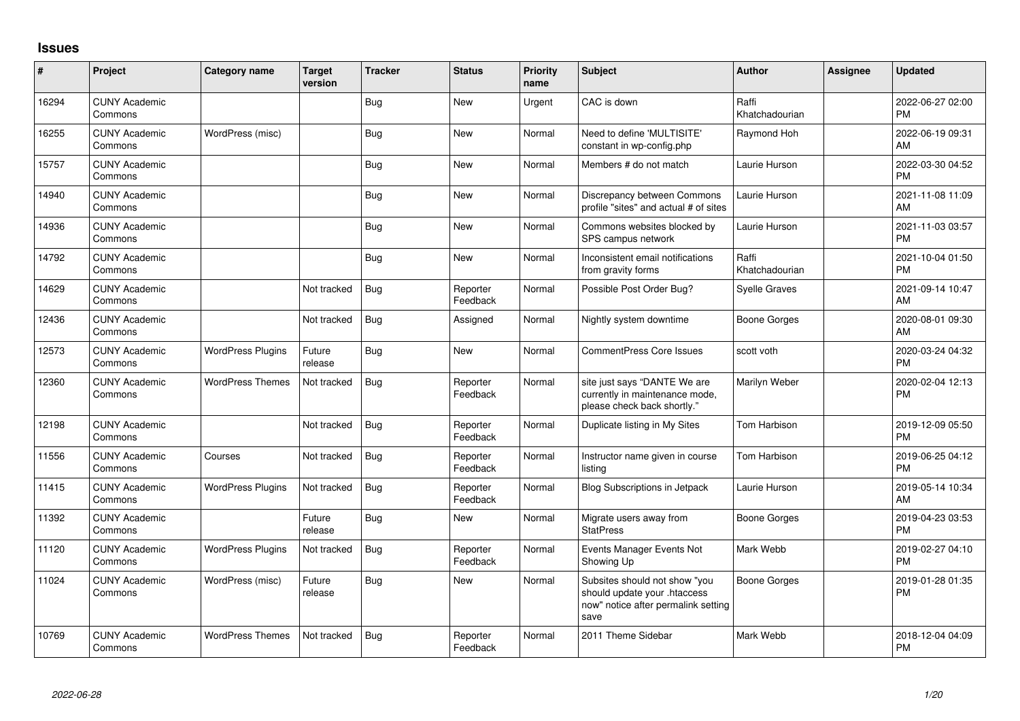## **Issues**

| #     | Project                         | <b>Category name</b>     | <b>Target</b><br>version | <b>Tracker</b> | <b>Status</b>        | <b>Priority</b><br>name | <b>Subject</b>                                                                                               | <b>Author</b>           | <b>Assignee</b> | <b>Updated</b>                |
|-------|---------------------------------|--------------------------|--------------------------|----------------|----------------------|-------------------------|--------------------------------------------------------------------------------------------------------------|-------------------------|-----------------|-------------------------------|
| 16294 | <b>CUNY Academic</b><br>Commons |                          |                          | <b>Bug</b>     | <b>New</b>           | Urgent                  | CAC is down                                                                                                  | Raffi<br>Khatchadourian |                 | 2022-06-27 02:00<br><b>PM</b> |
| 16255 | <b>CUNY Academic</b><br>Commons | WordPress (misc)         |                          | <b>Bug</b>     | <b>New</b>           | Normal                  | Need to define 'MULTISITE'<br>constant in wp-config.php                                                      | Raymond Hoh             |                 | 2022-06-19 09:31<br>AM        |
| 15757 | <b>CUNY Academic</b><br>Commons |                          |                          | <b>Bug</b>     | <b>New</b>           | Normal                  | Members # do not match                                                                                       | Laurie Hurson           |                 | 2022-03-30 04:52<br><b>PM</b> |
| 14940 | <b>CUNY Academic</b><br>Commons |                          |                          | <b>Bug</b>     | <b>New</b>           | Normal                  | Discrepancy between Commons<br>profile "sites" and actual # of sites                                         | Laurie Hurson           |                 | 2021-11-08 11:09<br>AM        |
| 14936 | <b>CUNY Academic</b><br>Commons |                          |                          | <b>Bug</b>     | <b>New</b>           | Normal                  | Commons websites blocked by<br>SPS campus network                                                            | Laurie Hurson           |                 | 2021-11-03 03:57<br><b>PM</b> |
| 14792 | <b>CUNY Academic</b><br>Commons |                          |                          | <b>Bug</b>     | <b>New</b>           | Normal                  | Inconsistent email notifications<br>from gravity forms                                                       | Raffi<br>Khatchadourian |                 | 2021-10-04 01:50<br><b>PM</b> |
| 14629 | <b>CUNY Academic</b><br>Commons |                          | Not tracked              | <b>Bug</b>     | Reporter<br>Feedback | Normal                  | Possible Post Order Bug?                                                                                     | <b>Syelle Graves</b>    |                 | 2021-09-14 10:47<br>AM        |
| 12436 | <b>CUNY Academic</b><br>Commons |                          | Not tracked              | Bug            | Assigned             | Normal                  | Nightly system downtime                                                                                      | <b>Boone Gorges</b>     |                 | 2020-08-01 09:30<br>AM        |
| 12573 | <b>CUNY Academic</b><br>Commons | <b>WordPress Plugins</b> | Future<br>release        | Bug            | <b>New</b>           | Normal                  | <b>CommentPress Core Issues</b>                                                                              | scott voth              |                 | 2020-03-24 04:32<br><b>PM</b> |
| 12360 | <b>CUNY Academic</b><br>Commons | <b>WordPress Themes</b>  | Not tracked              | <b>Bug</b>     | Reporter<br>Feedback | Normal                  | site just says "DANTE We are<br>currently in maintenance mode,<br>please check back shortly."                | Marilyn Weber           |                 | 2020-02-04 12:13<br>PM        |
| 12198 | <b>CUNY Academic</b><br>Commons |                          | Not tracked              | Bug            | Reporter<br>Feedback | Normal                  | Duplicate listing in My Sites                                                                                | Tom Harbison            |                 | 2019-12-09 05:50<br><b>PM</b> |
| 11556 | <b>CUNY Academic</b><br>Commons | Courses                  | Not tracked              | <b>Bug</b>     | Reporter<br>Feedback | Normal                  | Instructor name given in course<br>listing                                                                   | Tom Harbison            |                 | 2019-06-25 04:12<br><b>PM</b> |
| 11415 | <b>CUNY Academic</b><br>Commons | <b>WordPress Plugins</b> | Not tracked              | <b>Bug</b>     | Reporter<br>Feedback | Normal                  | Blog Subscriptions in Jetpack                                                                                | Laurie Hurson           |                 | 2019-05-14 10:34<br>AM        |
| 11392 | <b>CUNY Academic</b><br>Commons |                          | Future<br>release        | <b>Bug</b>     | <b>New</b>           | Normal                  | Migrate users away from<br><b>StatPress</b>                                                                  | <b>Boone Gorges</b>     |                 | 2019-04-23 03:53<br><b>PM</b> |
| 11120 | <b>CUNY Academic</b><br>Commons | <b>WordPress Plugins</b> | Not tracked              | <b>Bug</b>     | Reporter<br>Feedback | Normal                  | Events Manager Events Not<br>Showing Up                                                                      | Mark Webb               |                 | 2019-02-27 04:10<br><b>PM</b> |
| 11024 | <b>CUNY Academic</b><br>Commons | WordPress (misc)         | Future<br>release        | <b>Bug</b>     | New                  | Normal                  | Subsites should not show "you<br>should update your .htaccess<br>now" notice after permalink setting<br>save | <b>Boone Gorges</b>     |                 | 2019-01-28 01:35<br><b>PM</b> |
| 10769 | <b>CUNY Academic</b><br>Commons | <b>WordPress Themes</b>  | Not tracked              | <b>Bug</b>     | Reporter<br>Feedback | Normal                  | 2011 Theme Sidebar                                                                                           | Mark Webb               |                 | 2018-12-04 04:09<br><b>PM</b> |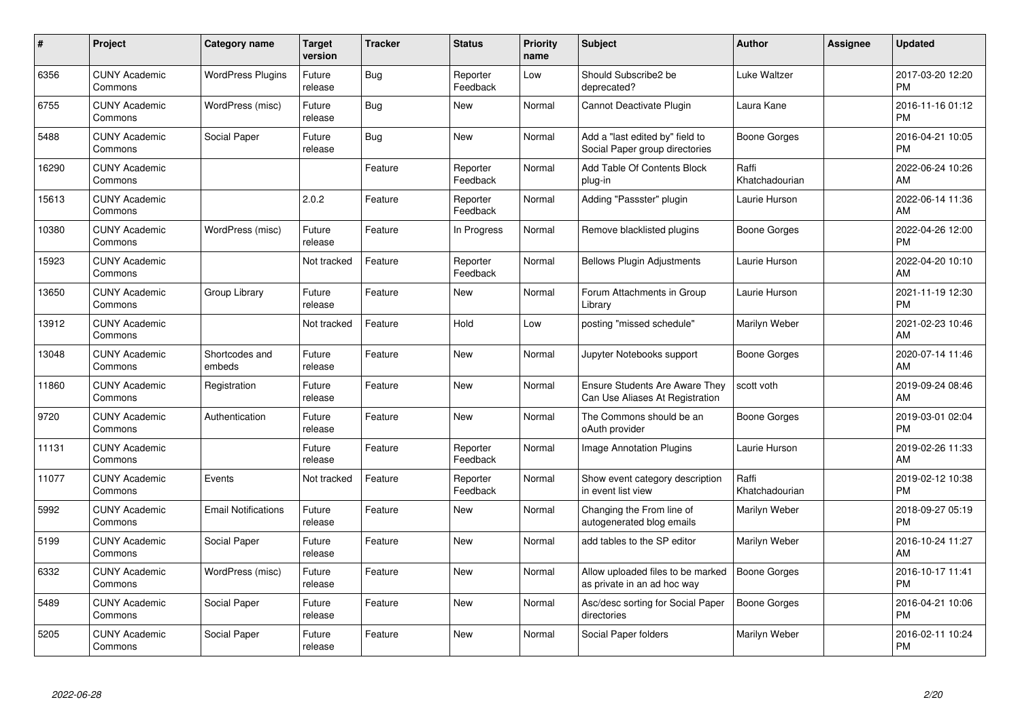| #     | Project                         | <b>Category name</b>       | Target<br>version | <b>Tracker</b> | <b>Status</b>        | <b>Priority</b><br>name | <b>Subject</b>                                                           | <b>Author</b>           | <b>Assignee</b> | <b>Updated</b>                |
|-------|---------------------------------|----------------------------|-------------------|----------------|----------------------|-------------------------|--------------------------------------------------------------------------|-------------------------|-----------------|-------------------------------|
| 6356  | <b>CUNY Academic</b><br>Commons | <b>WordPress Plugins</b>   | Future<br>release | <b>Bug</b>     | Reporter<br>Feedback | Low                     | Should Subscribe2 be<br>deprecated?                                      | Luke Waltzer            |                 | 2017-03-20 12:20<br><b>PM</b> |
| 6755  | <b>CUNY Academic</b><br>Commons | WordPress (misc)           | Future<br>release | Bug            | New                  | Normal                  | Cannot Deactivate Plugin                                                 | Laura Kane              |                 | 2016-11-16 01:12<br><b>PM</b> |
| 5488  | <b>CUNY Academic</b><br>Commons | <b>Social Paper</b>        | Future<br>release | <b>Bug</b>     | <b>New</b>           | Normal                  | Add a "last edited by" field to<br>Social Paper group directories        | <b>Boone Gorges</b>     |                 | 2016-04-21 10:05<br><b>PM</b> |
| 16290 | <b>CUNY Academic</b><br>Commons |                            |                   | Feature        | Reporter<br>Feedback | Normal                  | Add Table Of Contents Block<br>plug-in                                   | Raffi<br>Khatchadourian |                 | 2022-06-24 10:26<br>AM        |
| 15613 | <b>CUNY Academic</b><br>Commons |                            | 2.0.2             | Feature        | Reporter<br>Feedback | Normal                  | Adding "Passster" plugin                                                 | Laurie Hurson           |                 | 2022-06-14 11:36<br>AM        |
| 10380 | <b>CUNY Academic</b><br>Commons | WordPress (misc)           | Future<br>release | Feature        | In Progress          | Normal                  | Remove blacklisted plugins                                               | <b>Boone Gorges</b>     |                 | 2022-04-26 12:00<br><b>PM</b> |
| 15923 | <b>CUNY Academic</b><br>Commons |                            | Not tracked       | Feature        | Reporter<br>Feedback | Normal                  | <b>Bellows Plugin Adjustments</b>                                        | Laurie Hurson           |                 | 2022-04-20 10:10<br>AM        |
| 13650 | <b>CUNY Academic</b><br>Commons | Group Library              | Future<br>release | Feature        | <b>New</b>           | Normal                  | Forum Attachments in Group<br>Library                                    | Laurie Hurson           |                 | 2021-11-19 12:30<br><b>PM</b> |
| 13912 | <b>CUNY Academic</b><br>Commons |                            | Not tracked       | Feature        | Hold                 | Low                     | posting "missed schedule"                                                | Marilyn Weber           |                 | 2021-02-23 10:46<br>AM        |
| 13048 | <b>CUNY Academic</b><br>Commons | Shortcodes and<br>embeds   | Future<br>release | Feature        | <b>New</b>           | Normal                  | Jupyter Notebooks support                                                | <b>Boone Gorges</b>     |                 | 2020-07-14 11:46<br>AM        |
| 11860 | <b>CUNY Academic</b><br>Commons | Registration               | Future<br>release | Feature        | New                  | Normal                  | <b>Ensure Students Are Aware They</b><br>Can Use Aliases At Registration | scott voth              |                 | 2019-09-24 08:46<br>AM        |
| 9720  | <b>CUNY Academic</b><br>Commons | Authentication             | Future<br>release | Feature        | <b>New</b>           | Normal                  | The Commons should be an<br>oAuth provider                               | Boone Gorges            |                 | 2019-03-01 02:04<br><b>PM</b> |
| 11131 | <b>CUNY Academic</b><br>Commons |                            | Future<br>release | Feature        | Reporter<br>Feedback | Normal                  | <b>Image Annotation Plugins</b>                                          | Laurie Hurson           |                 | 2019-02-26 11:33<br>AM        |
| 11077 | <b>CUNY Academic</b><br>Commons | Events                     | Not tracked       | Feature        | Reporter<br>Feedback | Normal                  | Show event category description<br>in event list view                    | Raffi<br>Khatchadourian |                 | 2019-02-12 10:38<br><b>PM</b> |
| 5992  | <b>CUNY Academic</b><br>Commons | <b>Email Notifications</b> | Future<br>release | Feature        | New                  | Normal                  | Changing the From line of<br>autogenerated blog emails                   | Marilyn Weber           |                 | 2018-09-27 05:19<br><b>PM</b> |
| 5199  | <b>CUNY Academic</b><br>Commons | Social Paper               | Future<br>release | Feature        | <b>New</b>           | Normal                  | add tables to the SP editor                                              | Marilyn Weber           |                 | 2016-10-24 11:27<br>AM        |
| 6332  | <b>CUNY Academic</b><br>Commons | WordPress (misc)           | Future<br>release | Feature        | <b>New</b>           | Normal                  | Allow uploaded files to be marked<br>as private in an ad hoc way         | <b>Boone Gorges</b>     |                 | 2016-10-17 11:41<br><b>PM</b> |
| 5489  | <b>CUNY Academic</b><br>Commons | Social Paper               | Future<br>release | Feature        | <b>New</b>           | Normal                  | Asc/desc sorting for Social Paper<br>directories                         | Boone Gorges            |                 | 2016-04-21 10:06<br><b>PM</b> |
| 5205  | <b>CUNY Academic</b><br>Commons | Social Paper               | Future<br>release | Feature        | <b>New</b>           | Normal                  | Social Paper folders                                                     | Marilyn Weber           |                 | 2016-02-11 10:24<br><b>PM</b> |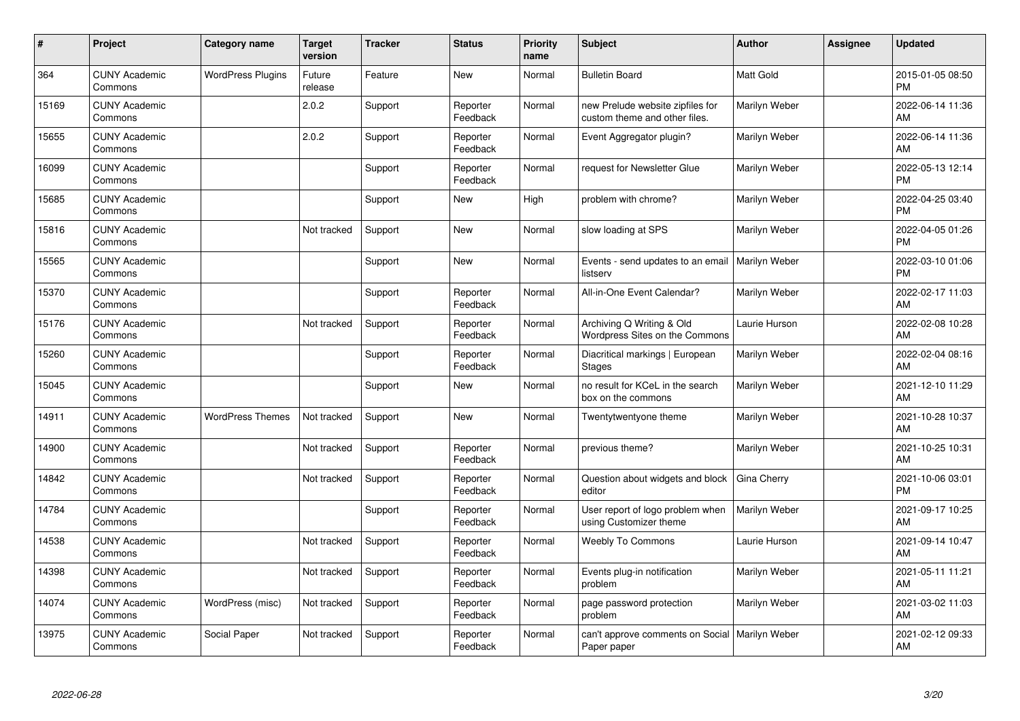| $\vert$ # | Project                         | Category name            | <b>Target</b><br>version | <b>Tracker</b> | <b>Status</b>        | <b>Priority</b><br>name | <b>Subject</b>                                                    | Author           | <b>Assignee</b> | <b>Updated</b>                |
|-----------|---------------------------------|--------------------------|--------------------------|----------------|----------------------|-------------------------|-------------------------------------------------------------------|------------------|-----------------|-------------------------------|
| 364       | <b>CUNY Academic</b><br>Commons | <b>WordPress Plugins</b> | Future<br>release        | Feature        | <b>New</b>           | Normal                  | <b>Bulletin Board</b>                                             | <b>Matt Gold</b> |                 | 2015-01-05 08:50<br><b>PM</b> |
| 15169     | <b>CUNY Academic</b><br>Commons |                          | 2.0.2                    | Support        | Reporter<br>Feedback | Normal                  | new Prelude website zipfiles for<br>custom theme and other files. | Marilyn Weber    |                 | 2022-06-14 11:36<br>AM        |
| 15655     | <b>CUNY Academic</b><br>Commons |                          | 2.0.2                    | Support        | Reporter<br>Feedback | Normal                  | Event Aggregator plugin?                                          | Marilyn Weber    |                 | 2022-06-14 11:36<br>AM        |
| 16099     | <b>CUNY Academic</b><br>Commons |                          |                          | Support        | Reporter<br>Feedback | Normal                  | request for Newsletter Glue                                       | Marilyn Weber    |                 | 2022-05-13 12:14<br><b>PM</b> |
| 15685     | <b>CUNY Academic</b><br>Commons |                          |                          | Support        | New                  | High                    | problem with chrome?                                              | Marilyn Weber    |                 | 2022-04-25 03:40<br>PM        |
| 15816     | <b>CUNY Academic</b><br>Commons |                          | Not tracked              | Support        | <b>New</b>           | Normal                  | slow loading at SPS                                               | Marilyn Weber    |                 | 2022-04-05 01:26<br><b>PM</b> |
| 15565     | <b>CUNY Academic</b><br>Commons |                          |                          | Support        | <b>New</b>           | Normal                  | Events - send updates to an email<br>listserv                     | Marilyn Weber    |                 | 2022-03-10 01:06<br>PM        |
| 15370     | <b>CUNY Academic</b><br>Commons |                          |                          | Support        | Reporter<br>Feedback | Normal                  | All-in-One Event Calendar?                                        | Marilyn Weber    |                 | 2022-02-17 11:03<br>AM        |
| 15176     | <b>CUNY Academic</b><br>Commons |                          | Not tracked              | Support        | Reporter<br>Feedback | Normal                  | Archiving Q Writing & Old<br>Wordpress Sites on the Commons       | Laurie Hurson    |                 | 2022-02-08 10:28<br>AM        |
| 15260     | <b>CUNY Academic</b><br>Commons |                          |                          | Support        | Reporter<br>Feedback | Normal                  | Diacritical markings   European<br>Stages                         | Marilyn Weber    |                 | 2022-02-04 08:16<br>AM        |
| 15045     | <b>CUNY Academic</b><br>Commons |                          |                          | Support        | New                  | Normal                  | no result for KCeL in the search<br>box on the commons            | Marilyn Weber    |                 | 2021-12-10 11:29<br>AM        |
| 14911     | <b>CUNY Academic</b><br>Commons | <b>WordPress Themes</b>  | Not tracked              | Support        | <b>New</b>           | Normal                  | Twentytwentyone theme                                             | Marilyn Weber    |                 | 2021-10-28 10:37<br>AM        |
| 14900     | <b>CUNY Academic</b><br>Commons |                          | Not tracked              | Support        | Reporter<br>Feedback | Normal                  | previous theme?                                                   | Marilyn Weber    |                 | 2021-10-25 10:31<br>AM        |
| 14842     | <b>CUNY Academic</b><br>Commons |                          | Not tracked              | Support        | Reporter<br>Feedback | Normal                  | Question about widgets and block<br>editor                        | Gina Cherry      |                 | 2021-10-06 03:01<br><b>PM</b> |
| 14784     | <b>CUNY Academic</b><br>Commons |                          |                          | Support        | Reporter<br>Feedback | Normal                  | User report of logo problem when<br>using Customizer theme        | Marilyn Weber    |                 | 2021-09-17 10:25<br>AM        |
| 14538     | <b>CUNY Academic</b><br>Commons |                          | Not tracked              | Support        | Reporter<br>Feedback | Normal                  | <b>Weebly To Commons</b>                                          | Laurie Hurson    |                 | 2021-09-14 10:47<br>AM        |
| 14398     | <b>CUNY Academic</b><br>Commons |                          | Not tracked              | Support        | Reporter<br>Feedback | Normal                  | Events plug-in notification<br>problem                            | Marilyn Weber    |                 | 2021-05-11 11:21<br>AM        |
| 14074     | <b>CUNY Academic</b><br>Commons | WordPress (misc)         | Not tracked              | Support        | Reporter<br>Feedback | Normal                  | page password protection<br>problem                               | Marilyn Weber    |                 | 2021-03-02 11:03<br>AM        |
| 13975     | <b>CUNY Academic</b><br>Commons | Social Paper             | Not tracked              | Support        | Reporter<br>Feedback | Normal                  | can't approve comments on Social  <br>Paper paper                 | Marilyn Weber    |                 | 2021-02-12 09:33<br>AM        |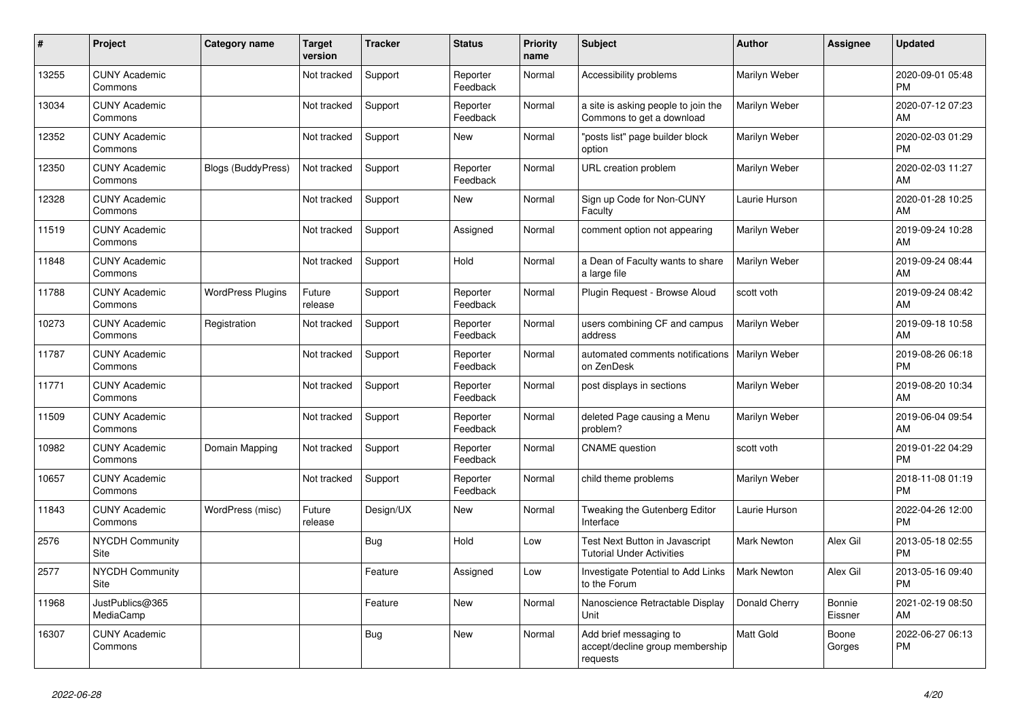| $\vert$ # | Project                         | <b>Category name</b>      | <b>Target</b><br>version | <b>Tracker</b> | <b>Status</b>        | <b>Priority</b><br>name | <b>Subject</b>                                                        | Author             | <b>Assignee</b>   | <b>Updated</b>                |
|-----------|---------------------------------|---------------------------|--------------------------|----------------|----------------------|-------------------------|-----------------------------------------------------------------------|--------------------|-------------------|-------------------------------|
| 13255     | <b>CUNY Academic</b><br>Commons |                           | Not tracked              | Support        | Reporter<br>Feedback | Normal                  | Accessibility problems                                                | Marilyn Weber      |                   | 2020-09-01 05:48<br><b>PM</b> |
| 13034     | <b>CUNY Academic</b><br>Commons |                           | Not tracked              | Support        | Reporter<br>Feedback | Normal                  | a site is asking people to join the<br>Commons to get a download      | Marilyn Weber      |                   | 2020-07-12 07:23<br>AM        |
| 12352     | <b>CUNY Academic</b><br>Commons |                           | Not tracked              | Support        | <b>New</b>           | Normal                  | "posts list" page builder block<br>option                             | Marilyn Weber      |                   | 2020-02-03 01:29<br><b>PM</b> |
| 12350     | <b>CUNY Academic</b><br>Commons | <b>Blogs (BuddyPress)</b> | Not tracked              | Support        | Reporter<br>Feedback | Normal                  | <b>URL</b> creation problem                                           | Marilyn Weber      |                   | 2020-02-03 11:27<br>AM        |
| 12328     | <b>CUNY Academic</b><br>Commons |                           | Not tracked              | Support        | <b>New</b>           | Normal                  | Sign up Code for Non-CUNY<br>Faculty                                  | Laurie Hurson      |                   | 2020-01-28 10:25<br>AM        |
| 11519     | <b>CUNY Academic</b><br>Commons |                           | Not tracked              | Support        | Assigned             | Normal                  | comment option not appearing                                          | Marilyn Weber      |                   | 2019-09-24 10:28<br>AM        |
| 11848     | <b>CUNY Academic</b><br>Commons |                           | Not tracked              | Support        | Hold                 | Normal                  | a Dean of Faculty wants to share<br>a large file                      | Marilyn Weber      |                   | 2019-09-24 08:44<br>AM        |
| 11788     | <b>CUNY Academic</b><br>Commons | <b>WordPress Plugins</b>  | Future<br>release        | Support        | Reporter<br>Feedback | Normal                  | Plugin Request - Browse Aloud                                         | scott voth         |                   | 2019-09-24 08:42<br>AM        |
| 10273     | <b>CUNY Academic</b><br>Commons | Registration              | Not tracked              | Support        | Reporter<br>Feedback | Normal                  | users combining CF and campus<br>address                              | Marilyn Weber      |                   | 2019-09-18 10:58<br>AM        |
| 11787     | <b>CUNY Academic</b><br>Commons |                           | Not tracked              | Support        | Reporter<br>Feedback | Normal                  | automated comments notifications   Marilyn Weber<br>on ZenDesk        |                    |                   | 2019-08-26 06:18<br><b>PM</b> |
| 11771     | <b>CUNY Academic</b><br>Commons |                           | Not tracked              | Support        | Reporter<br>Feedback | Normal                  | post displays in sections                                             | Marilyn Weber      |                   | 2019-08-20 10:34<br>AM        |
| 11509     | <b>CUNY Academic</b><br>Commons |                           | Not tracked              | Support        | Reporter<br>Feedback | Normal                  | deleted Page causing a Menu<br>problem?                               | Marilyn Weber      |                   | 2019-06-04 09:54<br>AM        |
| 10982     | <b>CUNY Academic</b><br>Commons | Domain Mapping            | Not tracked              | Support        | Reporter<br>Feedback | Normal                  | <b>CNAME</b> question                                                 | scott voth         |                   | 2019-01-22 04:29<br><b>PM</b> |
| 10657     | <b>CUNY Academic</b><br>Commons |                           | Not tracked              | Support        | Reporter<br>Feedback | Normal                  | child theme problems                                                  | Marilyn Weber      |                   | 2018-11-08 01:19<br><b>PM</b> |
| 11843     | <b>CUNY Academic</b><br>Commons | WordPress (misc)          | Future<br>release        | Design/UX      | New                  | Normal                  | Tweaking the Gutenberg Editor<br>Interface                            | Laurie Hurson      |                   | 2022-04-26 12:00<br><b>PM</b> |
| 2576      | <b>NYCDH Community</b><br>Site  |                           |                          | <b>Bug</b>     | Hold                 | Low                     | Test Next Button in Javascript<br><b>Tutorial Under Activities</b>    | <b>Mark Newton</b> | Alex Gil          | 2013-05-18 02:55<br><b>PM</b> |
| 2577      | <b>NYCDH Community</b><br>Site  |                           |                          | Feature        | Assigned             | Low                     | Investigate Potential to Add Links<br>to the Forum                    | <b>Mark Newton</b> | Alex Gil          | 2013-05-16 09:40<br><b>PM</b> |
| 11968     | JustPublics@365<br>MediaCamp    |                           |                          | Feature        | New                  | Normal                  | Nanoscience Retractable Display<br>Unit                               | Donald Cherry      | Bonnie<br>Eissner | 2021-02-19 08:50<br>AM        |
| 16307     | <b>CUNY Academic</b><br>Commons |                           |                          | Bug            | <b>New</b>           | Normal                  | Add brief messaging to<br>accept/decline group membership<br>requests | <b>Matt Gold</b>   | Boone<br>Gorges   | 2022-06-27 06:13<br><b>PM</b> |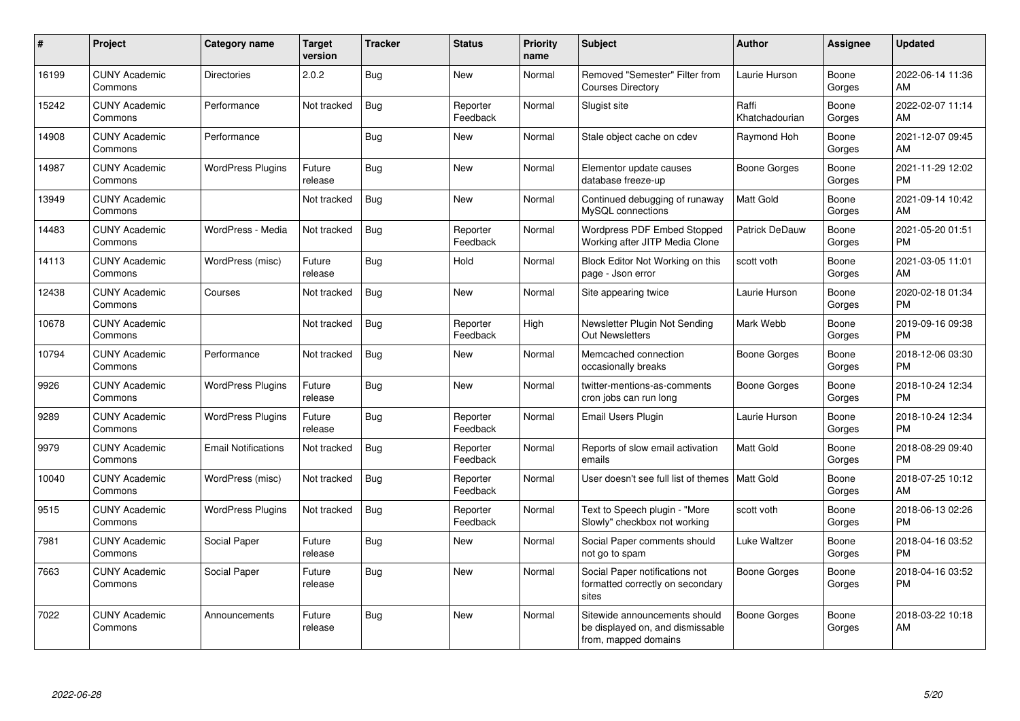| #     | Project                         | <b>Category name</b>       | <b>Target</b><br>version | <b>Tracker</b> | <b>Status</b>        | <b>Priority</b><br>name | <b>Subject</b>                                                                            | <b>Author</b>           | <b>Assignee</b> | <b>Updated</b>                |
|-------|---------------------------------|----------------------------|--------------------------|----------------|----------------------|-------------------------|-------------------------------------------------------------------------------------------|-------------------------|-----------------|-------------------------------|
| 16199 | <b>CUNY Academic</b><br>Commons | <b>Directories</b>         | 2.0.2                    | <b>Bug</b>     | <b>New</b>           | Normal                  | Removed "Semester" Filter from<br><b>Courses Directory</b>                                | Laurie Hurson           | Boone<br>Gorges | 2022-06-14 11:36<br>AM        |
| 15242 | <b>CUNY Academic</b><br>Commons | Performance                | Not tracked              | Bug            | Reporter<br>Feedback | Normal                  | Slugist site                                                                              | Raffi<br>Khatchadourian | Boone<br>Gorges | 2022-02-07 11:14<br>AM        |
| 14908 | <b>CUNY Academic</b><br>Commons | Performance                |                          | Bug            | <b>New</b>           | Normal                  | Stale object cache on cdev                                                                | Raymond Hoh             | Boone<br>Gorges | 2021-12-07 09:45<br>AM        |
| 14987 | <b>CUNY Academic</b><br>Commons | <b>WordPress Plugins</b>   | Future<br>release        | <b>Bug</b>     | New                  | Normal                  | Elementor update causes<br>database freeze-up                                             | Boone Gorges            | Boone<br>Gorges | 2021-11-29 12:02<br><b>PM</b> |
| 13949 | <b>CUNY Academic</b><br>Commons |                            | Not tracked              | <b>Bug</b>     | <b>New</b>           | Normal                  | Continued debugging of runaway<br>MySQL connections                                       | Matt Gold               | Boone<br>Gorges | 2021-09-14 10:42<br>AM        |
| 14483 | <b>CUNY Academic</b><br>Commons | WordPress - Media          | Not tracked              | <b>Bug</b>     | Reporter<br>Feedback | Normal                  | Wordpress PDF Embed Stopped<br>Working after JITP Media Clone                             | Patrick DeDauw          | Boone<br>Gorges | 2021-05-20 01:51<br><b>PM</b> |
| 14113 | <b>CUNY Academic</b><br>Commons | WordPress (misc)           | Future<br>release        | <b>Bug</b>     | Hold                 | Normal                  | Block Editor Not Working on this<br>page - Json error                                     | scott voth              | Boone<br>Gorges | 2021-03-05 11:01<br>AM        |
| 12438 | <b>CUNY Academic</b><br>Commons | Courses                    | Not tracked              | <b>Bug</b>     | <b>New</b>           | Normal                  | Site appearing twice                                                                      | Laurie Hurson           | Boone<br>Gorges | 2020-02-18 01:34<br><b>PM</b> |
| 10678 | <b>CUNY Academic</b><br>Commons |                            | Not tracked              | <b>Bug</b>     | Reporter<br>Feedback | High                    | Newsletter Plugin Not Sending<br><b>Out Newsletters</b>                                   | Mark Webb               | Boone<br>Gorges | 2019-09-16 09:38<br><b>PM</b> |
| 10794 | <b>CUNY Academic</b><br>Commons | Performance                | Not tracked              | Bug            | <b>New</b>           | Normal                  | Memcached connection<br>occasionally breaks                                               | <b>Boone Gorges</b>     | Boone<br>Gorges | 2018-12-06 03:30<br><b>PM</b> |
| 9926  | <b>CUNY Academic</b><br>Commons | <b>WordPress Plugins</b>   | Future<br>release        | Bug            | <b>New</b>           | Normal                  | twitter-mentions-as-comments<br>cron jobs can run long                                    | <b>Boone Gorges</b>     | Boone<br>Gorges | 2018-10-24 12:34<br><b>PM</b> |
| 9289  | <b>CUNY Academic</b><br>Commons | <b>WordPress Plugins</b>   | Future<br>release        | Bug            | Reporter<br>Feedback | Normal                  | <b>Email Users Plugin</b>                                                                 | Laurie Hurson           | Boone<br>Gorges | 2018-10-24 12:34<br><b>PM</b> |
| 9979  | <b>CUNY Academic</b><br>Commons | <b>Email Notifications</b> | Not tracked              | <b>Bug</b>     | Reporter<br>Feedback | Normal                  | Reports of slow email activation<br>emails                                                | <b>Matt Gold</b>        | Boone<br>Gorges | 2018-08-29 09:40<br><b>PM</b> |
| 10040 | <b>CUNY Academic</b><br>Commons | WordPress (misc)           | Not tracked              | <b>Bug</b>     | Reporter<br>Feedback | Normal                  | User doesn't see full list of themes                                                      | <b>Matt Gold</b>        | Boone<br>Gorges | 2018-07-25 10:12<br>AM        |
| 9515  | <b>CUNY Academic</b><br>Commons | <b>WordPress Plugins</b>   | Not tracked              | <b>Bug</b>     | Reporter<br>Feedback | Normal                  | Text to Speech plugin - "More<br>Slowly" checkbox not working                             | scott voth              | Boone<br>Gorges | 2018-06-13 02:26<br><b>PM</b> |
| 7981  | <b>CUNY Academic</b><br>Commons | Social Paper               | Future<br>release        | Bug            | <b>New</b>           | Normal                  | Social Paper comments should<br>not go to spam                                            | Luke Waltzer            | Boone<br>Gorges | 2018-04-16 03:52<br><b>PM</b> |
| 7663  | <b>CUNY Academic</b><br>Commons | Social Paper               | Future<br>release        | Bug            | <b>New</b>           | Normal                  | Social Paper notifications not<br>formatted correctly on secondary<br>sites               | <b>Boone Gorges</b>     | Boone<br>Gorges | 2018-04-16 03:52<br><b>PM</b> |
| 7022  | <b>CUNY Academic</b><br>Commons | Announcements              | Future<br>release        | <b>Bug</b>     | <b>New</b>           | Normal                  | Sitewide announcements should<br>be displayed on, and dismissable<br>from, mapped domains | <b>Boone Gorges</b>     | Boone<br>Gorges | 2018-03-22 10:18<br>AM        |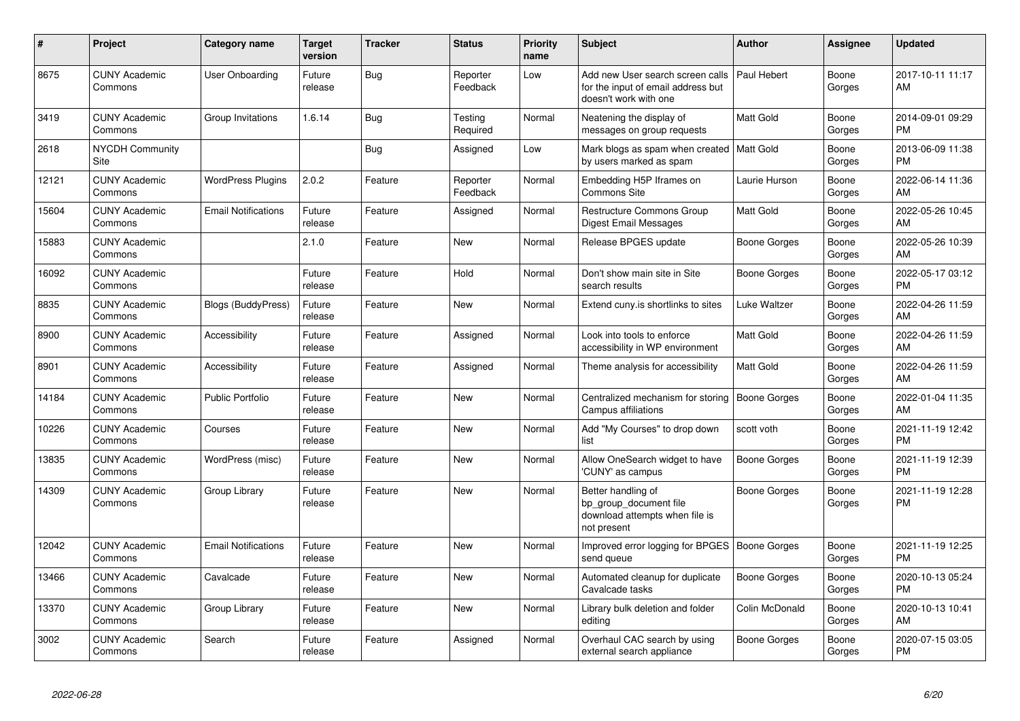| #     | Project                         | <b>Category name</b>       | Target<br>version | <b>Tracker</b> | <b>Status</b>        | <b>Priority</b><br>name | <b>Subject</b>                                                                                  | <b>Author</b>       | <b>Assignee</b> | <b>Updated</b>                |
|-------|---------------------------------|----------------------------|-------------------|----------------|----------------------|-------------------------|-------------------------------------------------------------------------------------------------|---------------------|-----------------|-------------------------------|
| 8675  | <b>CUNY Academic</b><br>Commons | <b>User Onboarding</b>     | Future<br>release | Bug            | Reporter<br>Feedback | Low                     | Add new User search screen calls<br>for the input of email address but<br>doesn't work with one | Paul Hebert         | Boone<br>Gorges | 2017-10-11 11:17<br>AM        |
| 3419  | <b>CUNY Academic</b><br>Commons | Group Invitations          | 1.6.14            | <b>Bug</b>     | Testing<br>Required  | Normal                  | Neatening the display of<br>messages on group requests                                          | Matt Gold           | Boone<br>Gorges | 2014-09-01 09:29<br><b>PM</b> |
| 2618  | <b>NYCDH Community</b><br>Site  |                            |                   | <b>Bug</b>     | Assigned             | Low                     | Mark blogs as spam when created   Matt Gold<br>by users marked as spam                          |                     | Boone<br>Gorges | 2013-06-09 11:38<br><b>PM</b> |
| 12121 | <b>CUNY Academic</b><br>Commons | <b>WordPress Plugins</b>   | 2.0.2             | Feature        | Reporter<br>Feedback | Normal                  | Embedding H5P Iframes on<br><b>Commons Site</b>                                                 | Laurie Hurson       | Boone<br>Gorges | 2022-06-14 11:36<br>AM        |
| 15604 | <b>CUNY Academic</b><br>Commons | <b>Email Notifications</b> | Future<br>release | Feature        | Assigned             | Normal                  | Restructure Commons Group<br>Digest Email Messages                                              | Matt Gold           | Boone<br>Gorges | 2022-05-26 10:45<br>AM        |
| 15883 | <b>CUNY Academic</b><br>Commons |                            | 2.1.0             | Feature        | <b>New</b>           | Normal                  | Release BPGES update                                                                            | Boone Gorges        | Boone<br>Gorges | 2022-05-26 10:39<br>AM        |
| 16092 | <b>CUNY Academic</b><br>Commons |                            | Future<br>release | Feature        | Hold                 | Normal                  | Don't show main site in Site<br>search results                                                  | Boone Gorges        | Boone<br>Gorges | 2022-05-17 03:12<br><b>PM</b> |
| 8835  | <b>CUNY Academic</b><br>Commons | <b>Blogs (BuddyPress)</b>  | Future<br>release | Feature        | New                  | Normal                  | Extend cuny.is shortlinks to sites                                                              | Luke Waltzer        | Boone<br>Gorges | 2022-04-26 11:59<br>AM        |
| 8900  | <b>CUNY Academic</b><br>Commons | Accessibility              | Future<br>release | Feature        | Assigned             | Normal                  | Look into tools to enforce<br>accessibility in WP environment                                   | Matt Gold           | Boone<br>Gorges | 2022-04-26 11:59<br>AM        |
| 8901  | <b>CUNY Academic</b><br>Commons | Accessibility              | Future<br>release | Feature        | Assigned             | Normal                  | Theme analysis for accessibility                                                                | Matt Gold           | Boone<br>Gorges | 2022-04-26 11:59<br>AM        |
| 14184 | <b>CUNY Academic</b><br>Commons | <b>Public Portfolio</b>    | Future<br>release | Feature        | New                  | Normal                  | Centralized mechanism for storing<br>Campus affiliations                                        | <b>Boone Gorges</b> | Boone<br>Gorges | 2022-01-04 11:35<br>AM        |
| 10226 | <b>CUNY Academic</b><br>Commons | Courses                    | Future<br>release | Feature        | New                  | Normal                  | Add "My Courses" to drop down<br>list                                                           | scott voth          | Boone<br>Gorges | 2021-11-19 12:42<br><b>PM</b> |
| 13835 | <b>CUNY Academic</b><br>Commons | WordPress (misc)           | Future<br>release | Feature        | <b>New</b>           | Normal                  | Allow OneSearch widget to have<br>'CUNY' as campus                                              | <b>Boone Gorges</b> | Boone<br>Gorges | 2021-11-19 12:39<br><b>PM</b> |
| 14309 | <b>CUNY Academic</b><br>Commons | Group Library              | Future<br>release | Feature        | New                  | Normal                  | Better handling of<br>bp_group_document file<br>download attempts when file is<br>not present   | Boone Gorges        | Boone<br>Gorges | 2021-11-19 12:28<br><b>PM</b> |
| 12042 | <b>CUNY Academic</b><br>Commons | <b>Email Notifications</b> | Future<br>release | Feature        | <b>New</b>           | Normal                  | Improved error logging for BPGES   Boone Gorges<br>send queue                                   |                     | Boone<br>Gorges | 2021-11-19 12:25<br><b>PM</b> |
| 13466 | <b>CUNY Academic</b><br>Commons | Cavalcade                  | Future<br>release | Feature        | <b>New</b>           | Normal                  | Automated cleanup for duplicate<br>Cavalcade tasks                                              | <b>Boone Gorges</b> | Boone<br>Gorges | 2020-10-13 05:24<br><b>PM</b> |
| 13370 | <b>CUNY Academic</b><br>Commons | Group Library              | Future<br>release | Feature        | <b>New</b>           | Normal                  | Library bulk deletion and folder<br>editing                                                     | Colin McDonald      | Boone<br>Gorges | 2020-10-13 10:41<br>AM        |
| 3002  | <b>CUNY Academic</b><br>Commons | Search                     | Future<br>release | Feature        | Assigned             | Normal                  | Overhaul CAC search by using<br>external search appliance                                       | Boone Gorges        | Boone<br>Gorges | 2020-07-15 03:05<br>PM        |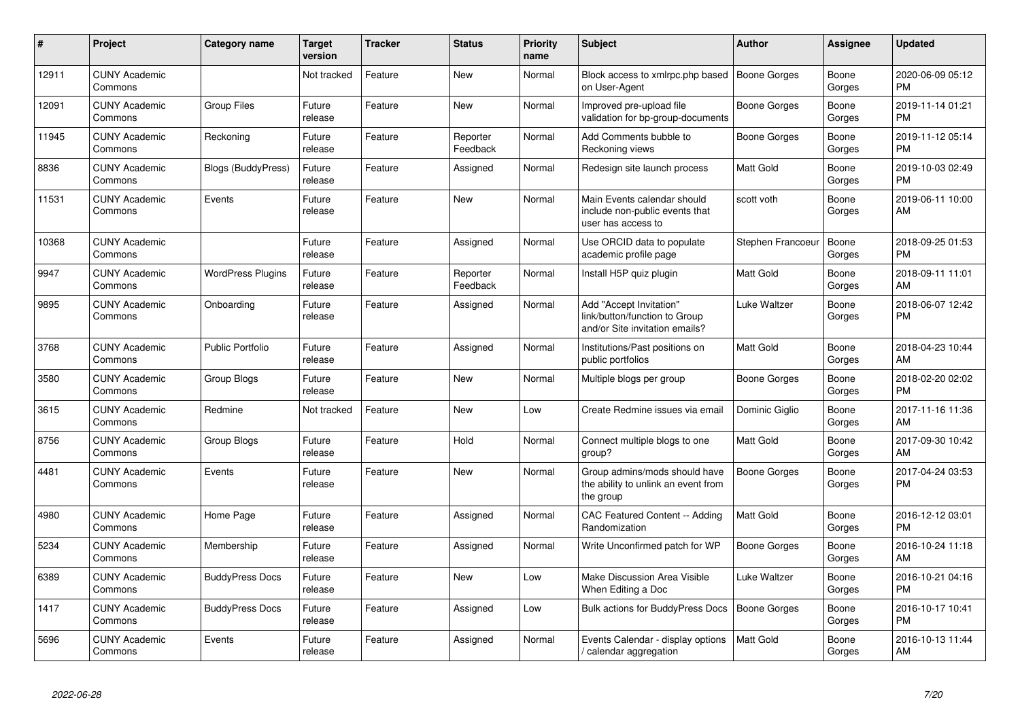| #     | Project                         | Category name            | <b>Target</b><br>version | <b>Tracker</b> | <b>Status</b>        | Priority<br>name | Subject                                                                                    | <b>Author</b>       | Assignee        | <b>Updated</b>                |
|-------|---------------------------------|--------------------------|--------------------------|----------------|----------------------|------------------|--------------------------------------------------------------------------------------------|---------------------|-----------------|-------------------------------|
| 12911 | <b>CUNY Academic</b><br>Commons |                          | Not tracked              | Feature        | <b>New</b>           | Normal           | Block access to xmlrpc.php based<br>on User-Agent                                          | Boone Gorges        | Boone<br>Gorges | 2020-06-09 05:12<br><b>PM</b> |
| 12091 | <b>CUNY Academic</b><br>Commons | <b>Group Files</b>       | Future<br>release        | Feature        | <b>New</b>           | Normal           | Improved pre-upload file<br>validation for bp-group-documents                              | <b>Boone Gorges</b> | Boone<br>Gorges | 2019-11-14 01:21<br><b>PM</b> |
| 11945 | <b>CUNY Academic</b><br>Commons | Reckoning                | Future<br>release        | Feature        | Reporter<br>Feedback | Normal           | Add Comments bubble to<br>Reckoning views                                                  | Boone Gorges        | Boone<br>Gorges | 2019-11-12 05:14<br><b>PM</b> |
| 8836  | <b>CUNY Academic</b><br>Commons | Blogs (BuddyPress)       | Future<br>release        | Feature        | Assigned             | Normal           | Redesign site launch process                                                               | Matt Gold           | Boone<br>Gorges | 2019-10-03 02:49<br><b>PM</b> |
| 11531 | <b>CUNY Academic</b><br>Commons | Events                   | Future<br>release        | Feature        | New                  | Normal           | Main Events calendar should<br>include non-public events that<br>user has access to        | scott voth          | Boone<br>Gorges | 2019-06-11 10:00<br>AM        |
| 10368 | <b>CUNY Academic</b><br>Commons |                          | Future<br>release        | Feature        | Assigned             | Normal           | Use ORCID data to populate<br>academic profile page                                        | Stephen Francoeur   | Boone<br>Gorges | 2018-09-25 01:53<br><b>PM</b> |
| 9947  | <b>CUNY Academic</b><br>Commons | <b>WordPress Plugins</b> | Future<br>release        | Feature        | Reporter<br>Feedback | Normal           | Install H5P quiz plugin                                                                    | Matt Gold           | Boone<br>Gorges | 2018-09-11 11:01<br>AM        |
| 9895  | <b>CUNY Academic</b><br>Commons | Onboarding               | Future<br>release        | Feature        | Assigned             | Normal           | Add "Accept Invitation"<br>link/button/function to Group<br>and/or Site invitation emails? | Luke Waltzer        | Boone<br>Gorges | 2018-06-07 12:42<br><b>PM</b> |
| 3768  | <b>CUNY Academic</b><br>Commons | <b>Public Portfolio</b>  | Future<br>release        | Feature        | Assigned             | Normal           | Institutions/Past positions on<br>public portfolios                                        | <b>Matt Gold</b>    | Boone<br>Gorges | 2018-04-23 10:44<br>AM        |
| 3580  | <b>CUNY Academic</b><br>Commons | Group Blogs              | Future<br>release        | Feature        | New                  | Normal           | Multiple blogs per group                                                                   | Boone Gorges        | Boone<br>Gorges | 2018-02-20 02:02<br><b>PM</b> |
| 3615  | <b>CUNY Academic</b><br>Commons | Redmine                  | Not tracked              | Feature        | <b>New</b>           | Low              | Create Redmine issues via email                                                            | Dominic Giglio      | Boone<br>Gorges | 2017-11-16 11:36<br>AM        |
| 8756  | <b>CUNY Academic</b><br>Commons | Group Blogs              | Future<br>release        | Feature        | Hold                 | Normal           | Connect multiple blogs to one<br>group?                                                    | Matt Gold           | Boone<br>Gorges | 2017-09-30 10:42<br>AM        |
| 4481  | <b>CUNY Academic</b><br>Commons | Events                   | Future<br>release        | Feature        | New                  | Normal           | Group admins/mods should have<br>the ability to unlink an event from<br>the group          | <b>Boone Gorges</b> | Boone<br>Gorges | 2017-04-24 03:53<br><b>PM</b> |
| 4980  | <b>CUNY Academic</b><br>Commons | Home Page                | Future<br>release        | Feature        | Assigned             | Normal           | CAC Featured Content -- Adding<br>Randomization                                            | <b>Matt Gold</b>    | Boone<br>Gorges | 2016-12-12 03:01<br><b>PM</b> |
| 5234  | <b>CUNY Academic</b><br>Commons | Membership               | Future<br>release        | Feature        | Assigned             | Normal           | Write Unconfirmed patch for WP                                                             | Boone Gorges        | Boone<br>Gorges | 2016-10-24 11:18<br>AM        |
| 6389  | <b>CUNY Academic</b><br>Commons | <b>BuddyPress Docs</b>   | Future<br>release        | Feature        | <b>New</b>           | Low              | Make Discussion Area Visible<br>When Editing a Doc                                         | Luke Waltzer        | Boone<br>Gorges | 2016-10-21 04:16<br><b>PM</b> |
| 1417  | <b>CUNY Academic</b><br>Commons | <b>BuddyPress Docs</b>   | Future<br>release        | Feature        | Assigned             | Low              | <b>Bulk actions for BuddyPress Docs</b>                                                    | <b>Boone Gorges</b> | Boone<br>Gorges | 2016-10-17 10:41<br><b>PM</b> |
| 5696  | <b>CUNY Academic</b><br>Commons | Events                   | Future<br>release        | Feature        | Assigned             | Normal           | Events Calendar - display options<br>/ calendar aggregation                                | Matt Gold           | Boone<br>Gorges | 2016-10-13 11:44<br>AM        |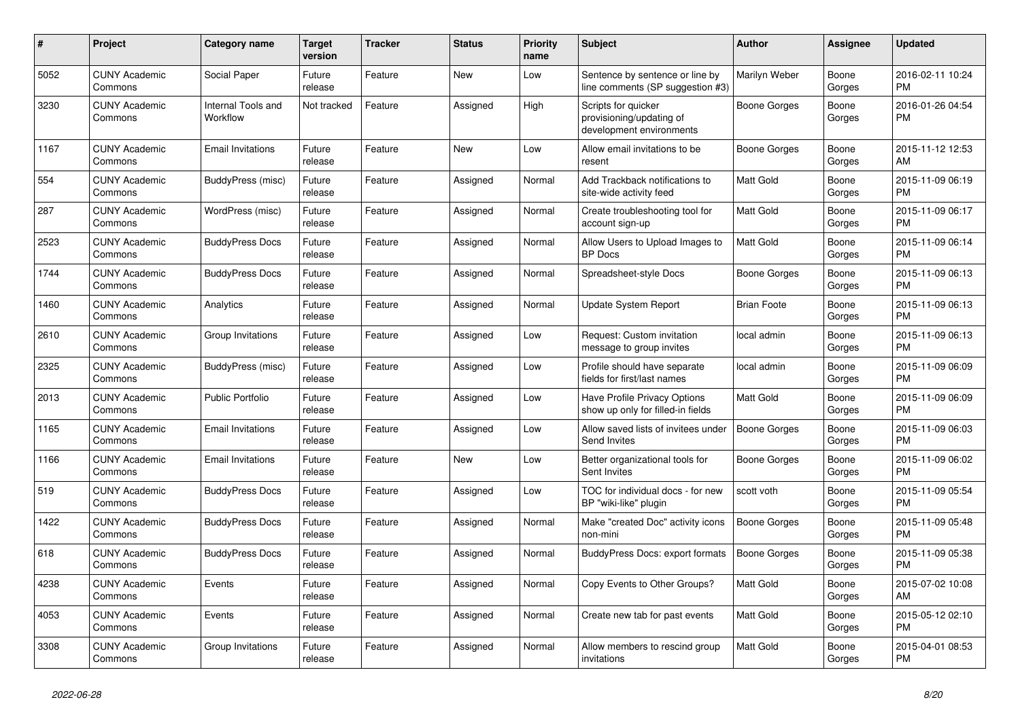| #    | <b>Project</b>                  | Category name                  | <b>Target</b><br>version | <b>Tracker</b> | <b>Status</b> | Priority<br>name | <b>Subject</b>                                                              | <b>Author</b>       | Assignee        | <b>Updated</b>                |
|------|---------------------------------|--------------------------------|--------------------------|----------------|---------------|------------------|-----------------------------------------------------------------------------|---------------------|-----------------|-------------------------------|
| 5052 | <b>CUNY Academic</b><br>Commons | Social Paper                   | Future<br>release        | Feature        | <b>New</b>    | Low              | Sentence by sentence or line by<br>line comments (SP suggestion #3)         | Marilyn Weber       | Boone<br>Gorges | 2016-02-11 10:24<br><b>PM</b> |
| 3230 | <b>CUNY Academic</b><br>Commons | Internal Tools and<br>Workflow | Not tracked              | Feature        | Assigned      | High             | Scripts for quicker<br>provisioning/updating of<br>development environments | Boone Gorges        | Boone<br>Gorges | 2016-01-26 04:54<br><b>PM</b> |
| 1167 | <b>CUNY Academic</b><br>Commons | <b>Email Invitations</b>       | Future<br>release        | Feature        | <b>New</b>    | Low              | Allow email invitations to be<br>resent                                     | Boone Gorges        | Boone<br>Gorges | 2015-11-12 12:53<br>AM        |
| 554  | <b>CUNY Academic</b><br>Commons | BuddyPress (misc)              | Future<br>release        | Feature        | Assigned      | Normal           | Add Trackback notifications to<br>site-wide activity feed                   | <b>Matt Gold</b>    | Boone<br>Gorges | 2015-11-09 06:19<br><b>PM</b> |
| 287  | <b>CUNY Academic</b><br>Commons | WordPress (misc)               | Future<br>release        | Feature        | Assigned      | Normal           | Create troubleshooting tool for<br>account sign-up                          | <b>Matt Gold</b>    | Boone<br>Gorges | 2015-11-09 06:17<br><b>PM</b> |
| 2523 | <b>CUNY Academic</b><br>Commons | <b>BuddyPress Docs</b>         | Future<br>release        | Feature        | Assigned      | Normal           | Allow Users to Upload Images to<br><b>BP</b> Docs                           | <b>Matt Gold</b>    | Boone<br>Gorges | 2015-11-09 06:14<br><b>PM</b> |
| 1744 | <b>CUNY Academic</b><br>Commons | <b>BuddyPress Docs</b>         | Future<br>release        | Feature        | Assigned      | Normal           | Spreadsheet-style Docs                                                      | Boone Gorges        | Boone<br>Gorges | 2015-11-09 06:13<br><b>PM</b> |
| 1460 | <b>CUNY Academic</b><br>Commons | Analytics                      | Future<br>release        | Feature        | Assigned      | Normal           | Update System Report                                                        | <b>Brian Foote</b>  | Boone<br>Gorges | 2015-11-09 06:13<br><b>PM</b> |
| 2610 | <b>CUNY Academic</b><br>Commons | Group Invitations              | Future<br>release        | Feature        | Assigned      | Low              | Request: Custom invitation<br>message to group invites                      | local admin         | Boone<br>Gorges | 2015-11-09 06:13<br><b>PM</b> |
| 2325 | <b>CUNY Academic</b><br>Commons | BuddyPress (misc)              | Future<br>release        | Feature        | Assigned      | Low              | Profile should have separate<br>fields for first/last names                 | local admin         | Boone<br>Gorges | 2015-11-09 06:09<br><b>PM</b> |
| 2013 | <b>CUNY Academic</b><br>Commons | <b>Public Portfolio</b>        | Future<br>release        | Feature        | Assigned      | Low              | Have Profile Privacy Options<br>show up only for filled-in fields           | <b>Matt Gold</b>    | Boone<br>Gorges | 2015-11-09 06:09<br><b>PM</b> |
| 1165 | <b>CUNY Academic</b><br>Commons | <b>Email Invitations</b>       | Future<br>release        | Feature        | Assigned      | Low              | Allow saved lists of invitees under<br><b>Send Invites</b>                  | <b>Boone Gorges</b> | Boone<br>Gorges | 2015-11-09 06:03<br><b>PM</b> |
| 1166 | <b>CUNY Academic</b><br>Commons | <b>Email Invitations</b>       | Future<br>release        | Feature        | <b>New</b>    | Low              | Better organizational tools for<br>Sent Invites                             | Boone Gorges        | Boone<br>Gorges | 2015-11-09 06:02<br><b>PM</b> |
| 519  | <b>CUNY Academic</b><br>Commons | <b>BuddyPress Docs</b>         | Future<br>release        | Feature        | Assigned      | Low              | TOC for individual docs - for new<br>BP "wiki-like" plugin                  | scott voth          | Boone<br>Gorges | 2015-11-09 05:54<br><b>PM</b> |
| 1422 | <b>CUNY Academic</b><br>Commons | <b>BuddyPress Docs</b>         | Future<br>release        | Feature        | Assigned      | Normal           | Make "created Doc" activity icons<br>non-mini                               | Boone Gorges        | Boone<br>Gorges | 2015-11-09 05:48<br><b>PM</b> |
| 618  | <b>CUNY Academic</b><br>Commons | <b>BuddyPress Docs</b>         | Future<br>release        | Feature        | Assigned      | Normal           | BuddyPress Docs: export formats                                             | <b>Boone Gorges</b> | Boone<br>Gorges | 2015-11-09 05:38<br><b>PM</b> |
| 4238 | <b>CUNY Academic</b><br>Commons | Events                         | Future<br>release        | Feature        | Assigned      | Normal           | Copy Events to Other Groups?                                                | Matt Gold           | Boone<br>Gorges | 2015-07-02 10:08<br>AM        |
| 4053 | <b>CUNY Academic</b><br>Commons | Events                         | Future<br>release        | Feature        | Assigned      | Normal           | Create new tab for past events                                              | Matt Gold           | Boone<br>Gorges | 2015-05-12 02:10<br><b>PM</b> |
| 3308 | <b>CUNY Academic</b><br>Commons | Group Invitations              | Future<br>release        | Feature        | Assigned      | Normal           | Allow members to rescind group<br>invitations                               | <b>Matt Gold</b>    | Boone<br>Gorges | 2015-04-01 08:53<br><b>PM</b> |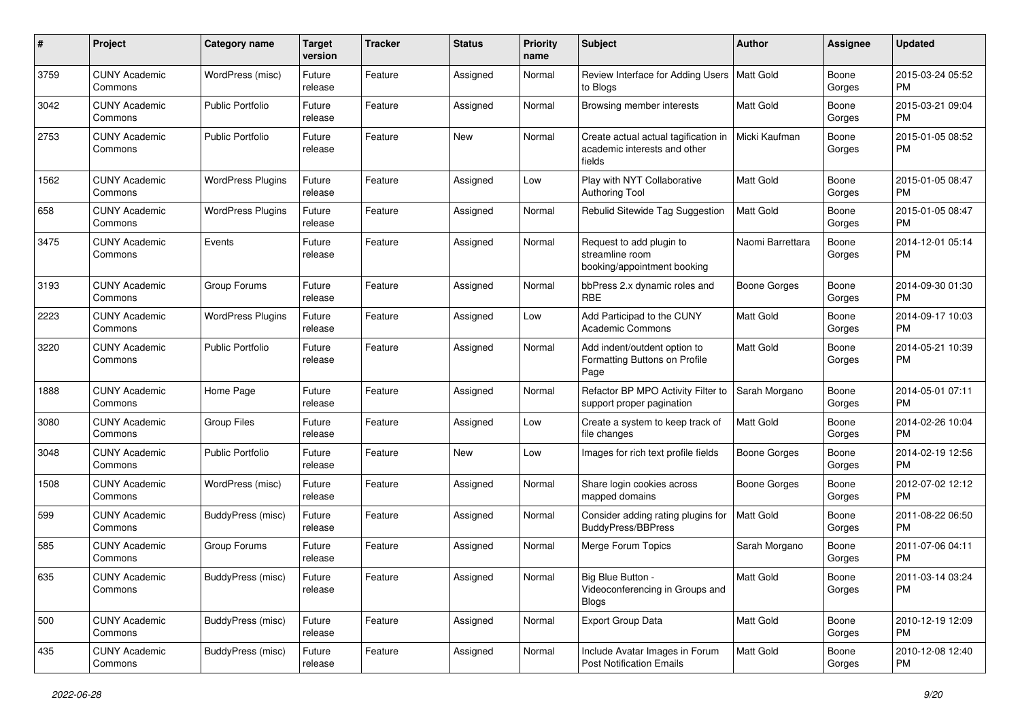| #    | Project                         | <b>Category name</b>     | <b>Target</b><br>version | <b>Tracker</b> | <b>Status</b> | <b>Priority</b><br>name | <b>Subject</b>                                                                 | Author              | <b>Assignee</b> | <b>Updated</b>                |
|------|---------------------------------|--------------------------|--------------------------|----------------|---------------|-------------------------|--------------------------------------------------------------------------------|---------------------|-----------------|-------------------------------|
| 3759 | <b>CUNY Academic</b><br>Commons | WordPress (misc)         | Future<br>release        | Feature        | Assigned      | Normal                  | Review Interface for Adding Users   Matt Gold<br>to Blogs                      |                     | Boone<br>Gorges | 2015-03-24 05:52<br><b>PM</b> |
| 3042 | <b>CUNY Academic</b><br>Commons | <b>Public Portfolio</b>  | Future<br>release        | Feature        | Assigned      | Normal                  | Browsing member interests                                                      | Matt Gold           | Boone<br>Gorges | 2015-03-21 09:04<br><b>PM</b> |
| 2753 | <b>CUNY Academic</b><br>Commons | <b>Public Portfolio</b>  | Future<br>release        | Feature        | New           | Normal                  | Create actual actual tagification in<br>academic interests and other<br>fields | Micki Kaufman       | Boone<br>Gorges | 2015-01-05 08:52<br><b>PM</b> |
| 1562 | <b>CUNY Academic</b><br>Commons | <b>WordPress Plugins</b> | Future<br>release        | Feature        | Assigned      | Low                     | Play with NYT Collaborative<br><b>Authoring Tool</b>                           | Matt Gold           | Boone<br>Gorges | 2015-01-05 08:47<br><b>PM</b> |
| 658  | <b>CUNY Academic</b><br>Commons | <b>WordPress Plugins</b> | Future<br>release        | Feature        | Assigned      | Normal                  | Rebulid Sitewide Tag Suggestion                                                | <b>Matt Gold</b>    | Boone<br>Gorges | 2015-01-05 08:47<br><b>PM</b> |
| 3475 | <b>CUNY Academic</b><br>Commons | Events                   | Future<br>release        | Feature        | Assigned      | Normal                  | Request to add plugin to<br>streamline room<br>booking/appointment booking     | Naomi Barrettara    | Boone<br>Gorges | 2014-12-01 05:14<br><b>PM</b> |
| 3193 | <b>CUNY Academic</b><br>Commons | Group Forums             | Future<br>release        | Feature        | Assigned      | Normal                  | bbPress 2.x dynamic roles and<br><b>RBE</b>                                    | Boone Gorges        | Boone<br>Gorges | 2014-09-30 01:30<br><b>PM</b> |
| 2223 | <b>CUNY Academic</b><br>Commons | <b>WordPress Plugins</b> | Future<br>release        | Feature        | Assigned      | Low                     | Add Participad to the CUNY<br><b>Academic Commons</b>                          | Matt Gold           | Boone<br>Gorges | 2014-09-17 10:03<br><b>PM</b> |
| 3220 | <b>CUNY Academic</b><br>Commons | <b>Public Portfolio</b>  | Future<br>release        | Feature        | Assigned      | Normal                  | Add indent/outdent option to<br>Formatting Buttons on Profile<br>Page          | Matt Gold           | Boone<br>Gorges | 2014-05-21 10:39<br><b>PM</b> |
| 1888 | <b>CUNY Academic</b><br>Commons | Home Page                | Future<br>release        | Feature        | Assigned      | Normal                  | Refactor BP MPO Activity Filter to<br>support proper pagination                | Sarah Morgano       | Boone<br>Gorges | 2014-05-01 07:11<br><b>PM</b> |
| 3080 | <b>CUNY Academic</b><br>Commons | <b>Group Files</b>       | Future<br>release        | Feature        | Assigned      | Low                     | Create a system to keep track of<br>file changes                               | Matt Gold           | Boone<br>Gorges | 2014-02-26 10:04<br><b>PM</b> |
| 3048 | <b>CUNY Academic</b><br>Commons | <b>Public Portfolio</b>  | Future<br>release        | Feature        | New           | Low                     | Images for rich text profile fields                                            | <b>Boone Gorges</b> | Boone<br>Gorges | 2014-02-19 12:56<br><b>PM</b> |
| 1508 | <b>CUNY Academic</b><br>Commons | WordPress (misc)         | Future<br>release        | Feature        | Assigned      | Normal                  | Share login cookies across<br>mapped domains                                   | <b>Boone Gorges</b> | Boone<br>Gorges | 2012-07-02 12:12<br><b>PM</b> |
| 599  | <b>CUNY Academic</b><br>Commons | BuddyPress (misc)        | Future<br>release        | Feature        | Assigned      | Normal                  | Consider adding rating plugins for<br><b>BuddyPress/BBPress</b>                | Matt Gold           | Boone<br>Gorges | 2011-08-22 06:50<br><b>PM</b> |
| 585  | <b>CUNY Academic</b><br>Commons | Group Forums             | Future<br>release        | Feature        | Assigned      | Normal                  | Merge Forum Topics                                                             | Sarah Morgano       | Boone<br>Gorges | 2011-07-06 04:11<br><b>PM</b> |
| 635  | <b>CUNY Academic</b><br>Commons | BuddyPress (misc)        | Future<br>release        | Feature        | Assigned      | Normal                  | Big Blue Button -<br>Videoconferencing in Groups and<br><b>Blogs</b>           | Matt Gold           | Boone<br>Gorges | 2011-03-14 03:24<br><b>PM</b> |
| 500  | <b>CUNY Academic</b><br>Commons | BuddyPress (misc)        | Future<br>release        | Feature        | Assigned      | Normal                  | Export Group Data                                                              | Matt Gold           | Boone<br>Gorges | 2010-12-19 12:09<br><b>PM</b> |
| 435  | <b>CUNY Academic</b><br>Commons | BuddyPress (misc)        | Future<br>release        | Feature        | Assigned      | Normal                  | Include Avatar Images in Forum<br><b>Post Notification Emails</b>              | Matt Gold           | Boone<br>Gorges | 2010-12-08 12:40<br>PM        |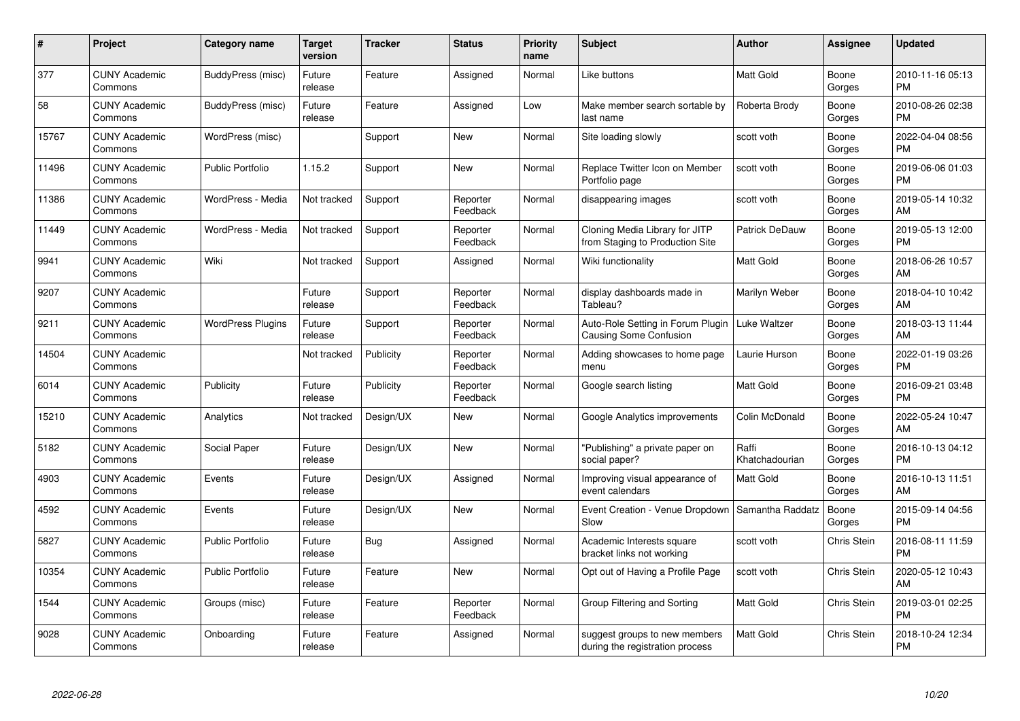| $\#$  | Project                         | Category name            | <b>Target</b><br>version | <b>Tracker</b> | <b>Status</b>        | <b>Priority</b><br>name | <b>Subject</b>                                                     | Author                  | <b>Assignee</b> | <b>Updated</b>                |
|-------|---------------------------------|--------------------------|--------------------------|----------------|----------------------|-------------------------|--------------------------------------------------------------------|-------------------------|-----------------|-------------------------------|
| 377   | <b>CUNY Academic</b><br>Commons | BuddyPress (misc)        | Future<br>release        | Feature        | Assigned             | Normal                  | Like buttons                                                       | <b>Matt Gold</b>        | Boone<br>Gorges | 2010-11-16 05:13<br><b>PM</b> |
| 58    | <b>CUNY Academic</b><br>Commons | BuddyPress (misc)        | Future<br>release        | Feature        | Assigned             | Low                     | Make member search sortable by<br>last name                        | Roberta Brody           | Boone<br>Gorges | 2010-08-26 02:38<br><b>PM</b> |
| 15767 | <b>CUNY Academic</b><br>Commons | WordPress (misc)         |                          | Support        | <b>New</b>           | Normal                  | Site loading slowly                                                | scott voth              | Boone<br>Gorges | 2022-04-04 08:56<br><b>PM</b> |
| 11496 | <b>CUNY Academic</b><br>Commons | <b>Public Portfolio</b>  | 1.15.2                   | Support        | <b>New</b>           | Normal                  | Replace Twitter Icon on Member<br>Portfolio page                   | scott voth              | Boone<br>Gorges | 2019-06-06 01:03<br><b>PM</b> |
| 11386 | <b>CUNY Academic</b><br>Commons | WordPress - Media        | Not tracked              | Support        | Reporter<br>Feedback | Normal                  | disappearing images                                                | scott voth              | Boone<br>Gorges | 2019-05-14 10:32<br>AM        |
| 11449 | <b>CUNY Academic</b><br>Commons | WordPress - Media        | Not tracked              | Support        | Reporter<br>Feedback | Normal                  | Cloning Media Library for JITP<br>from Staging to Production Site  | Patrick DeDauw          | Boone<br>Gorges | 2019-05-13 12:00<br><b>PM</b> |
| 9941  | <b>CUNY Academic</b><br>Commons | Wiki                     | Not tracked              | Support        | Assigned             | Normal                  | Wiki functionality                                                 | <b>Matt Gold</b>        | Boone<br>Gorges | 2018-06-26 10:57<br>AM        |
| 9207  | <b>CUNY Academic</b><br>Commons |                          | Future<br>release        | Support        | Reporter<br>Feedback | Normal                  | display dashboards made in<br>Tableau?                             | Marilyn Weber           | Boone<br>Gorges | 2018-04-10 10:42<br>AM        |
| 9211  | <b>CUNY Academic</b><br>Commons | <b>WordPress Plugins</b> | Future<br>release        | Support        | Reporter<br>Feedback | Normal                  | Auto-Role Setting in Forum Plugin<br><b>Causing Some Confusion</b> | Luke Waltzer            | Boone<br>Gorges | 2018-03-13 11:44<br>AM        |
| 14504 | <b>CUNY Academic</b><br>Commons |                          | Not tracked              | Publicity      | Reporter<br>Feedback | Normal                  | Adding showcases to home page<br>menu                              | Laurie Hurson           | Boone<br>Gorges | 2022-01-19 03:26<br>PM        |
| 6014  | <b>CUNY Academic</b><br>Commons | Publicity                | Future<br>release        | Publicity      | Reporter<br>Feedback | Normal                  | Google search listing                                              | Matt Gold               | Boone<br>Gorges | 2016-09-21 03:48<br><b>PM</b> |
| 15210 | <b>CUNY Academic</b><br>Commons | Analytics                | Not tracked              | Design/UX      | <b>New</b>           | Normal                  | Google Analytics improvements                                      | Colin McDonald          | Boone<br>Gorges | 2022-05-24 10:47<br>AM        |
| 5182  | <b>CUNY Academic</b><br>Commons | Social Paper             | Future<br>release        | Design/UX      | <b>New</b>           | Normal                  | "Publishing" a private paper on<br>social paper?                   | Raffi<br>Khatchadourian | Boone<br>Gorges | 2016-10-13 04:12<br><b>PM</b> |
| 4903  | <b>CUNY Academic</b><br>Commons | Events                   | Future<br>release        | Design/UX      | Assigned             | Normal                  | Improving visual appearance of<br>event calendars                  | <b>Matt Gold</b>        | Boone<br>Gorges | 2016-10-13 11:51<br>AM        |
| 4592  | <b>CUNY Academic</b><br>Commons | Events                   | Future<br>release        | Design/UX      | <b>New</b>           | Normal                  | Event Creation - Venue Dropdown<br>Slow                            | Samantha Raddatz        | Boone<br>Gorges | 2015-09-14 04:56<br><b>PM</b> |
| 5827  | <b>CUNY Academic</b><br>Commons | <b>Public Portfolio</b>  | Future<br>release        | <b>Bug</b>     | Assigned             | Normal                  | Academic Interests square<br>bracket links not working             | scott voth              | Chris Stein     | 2016-08-11 11:59<br><b>PM</b> |
| 10354 | <b>CUNY Academic</b><br>Commons | <b>Public Portfolio</b>  | Future<br>release        | Feature        | <b>New</b>           | Normal                  | Opt out of Having a Profile Page                                   | scott voth              | Chris Stein     | 2020-05-12 10:43<br>AM        |
| 1544  | <b>CUNY Academic</b><br>Commons | Groups (misc)            | Future<br>release        | Feature        | Reporter<br>Feedback | Normal                  | Group Filtering and Sorting                                        | <b>Matt Gold</b>        | Chris Stein     | 2019-03-01 02:25<br><b>PM</b> |
| 9028  | <b>CUNY Academic</b><br>Commons | Onboarding               | Future<br>release        | Feature        | Assigned             | Normal                  | suggest groups to new members<br>during the registration process   | <b>Matt Gold</b>        | Chris Stein     | 2018-10-24 12:34<br>PM        |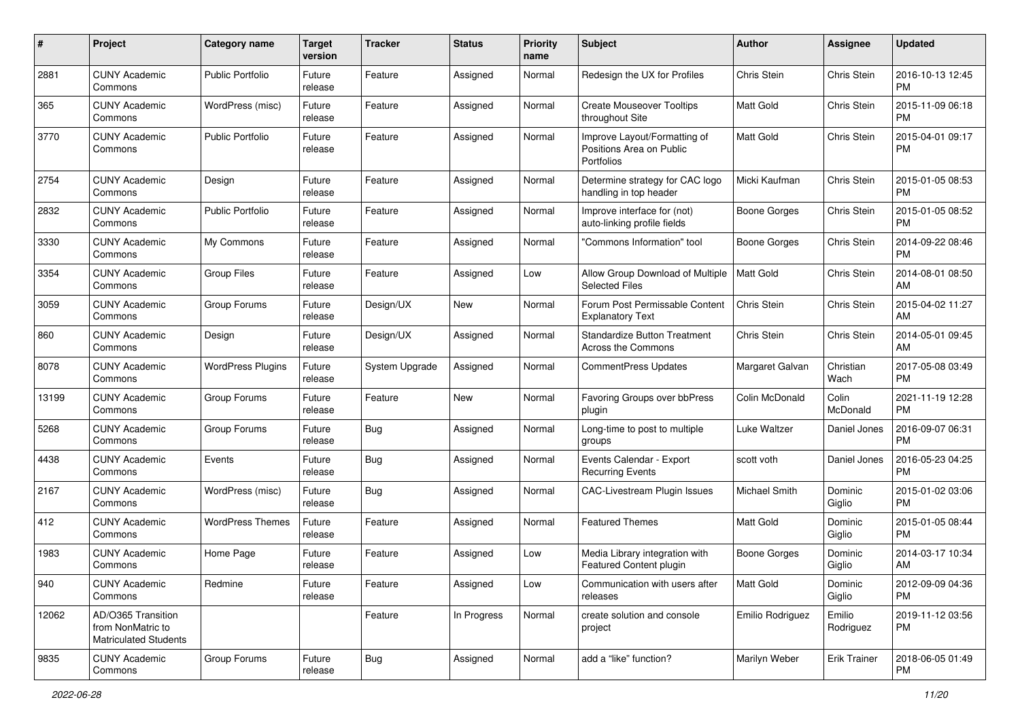| #     | Project                                                                 | <b>Category name</b>     | <b>Target</b><br>version | <b>Tracker</b> | <b>Status</b> | <b>Priority</b><br>name | <b>Subject</b>                                                         | Author              | <b>Assignee</b>     | <b>Updated</b>                |
|-------|-------------------------------------------------------------------------|--------------------------|--------------------------|----------------|---------------|-------------------------|------------------------------------------------------------------------|---------------------|---------------------|-------------------------------|
| 2881  | <b>CUNY Academic</b><br>Commons                                         | <b>Public Portfolio</b>  | Future<br>release        | Feature        | Assigned      | Normal                  | Redesign the UX for Profiles                                           | Chris Stein         | Chris Stein         | 2016-10-13 12:45<br><b>PM</b> |
| 365   | <b>CUNY Academic</b><br>Commons                                         | WordPress (misc)         | Future<br>release        | Feature        | Assigned      | Normal                  | <b>Create Mouseover Tooltips</b><br>throughout Site                    | <b>Matt Gold</b>    | Chris Stein         | 2015-11-09 06:18<br><b>PM</b> |
| 3770  | <b>CUNY Academic</b><br>Commons                                         | <b>Public Portfolio</b>  | Future<br>release        | Feature        | Assigned      | Normal                  | Improve Layout/Formatting of<br>Positions Area on Public<br>Portfolios | <b>Matt Gold</b>    | Chris Stein         | 2015-04-01 09:17<br><b>PM</b> |
| 2754  | <b>CUNY Academic</b><br>Commons                                         | Design                   | Future<br>release        | Feature        | Assigned      | Normal                  | Determine strategy for CAC logo<br>handling in top header              | Micki Kaufman       | Chris Stein         | 2015-01-05 08:53<br><b>PM</b> |
| 2832  | <b>CUNY Academic</b><br>Commons                                         | <b>Public Portfolio</b>  | Future<br>release        | Feature        | Assigned      | Normal                  | Improve interface for (not)<br>auto-linking profile fields             | <b>Boone Gorges</b> | Chris Stein         | 2015-01-05 08:52<br><b>PM</b> |
| 3330  | <b>CUNY Academic</b><br>Commons                                         | My Commons               | Future<br>release        | Feature        | Assigned      | Normal                  | 'Commons Information" tool                                             | <b>Boone Gorges</b> | Chris Stein         | 2014-09-22 08:46<br><b>PM</b> |
| 3354  | <b>CUNY Academic</b><br>Commons                                         | <b>Group Files</b>       | Future<br>release        | Feature        | Assigned      | Low                     | Allow Group Download of Multiple<br><b>Selected Files</b>              | <b>Matt Gold</b>    | Chris Stein         | 2014-08-01 08:50<br>AM        |
| 3059  | <b>CUNY Academic</b><br>Commons                                         | Group Forums             | Future<br>release        | Design/UX      | <b>New</b>    | Normal                  | Forum Post Permissable Content<br><b>Explanatory Text</b>              | <b>Chris Stein</b>  | Chris Stein         | 2015-04-02 11:27<br>AM        |
| 860   | <b>CUNY Academic</b><br>Commons                                         | Design                   | Future<br>release        | Design/UX      | Assigned      | Normal                  | <b>Standardize Button Treatment</b><br>Across the Commons              | Chris Stein         | Chris Stein         | 2014-05-01 09:45<br>AM        |
| 8078  | <b>CUNY Academic</b><br>Commons                                         | <b>WordPress Plugins</b> | Future<br>release        | System Upgrade | Assigned      | Normal                  | <b>CommentPress Updates</b>                                            | Margaret Galvan     | Christian<br>Wach   | 2017-05-08 03:49<br><b>PM</b> |
| 13199 | <b>CUNY Academic</b><br>Commons                                         | Group Forums             | Future<br>release        | Feature        | <b>New</b>    | Normal                  | Favoring Groups over bbPress<br>plugin                                 | Colin McDonald      | Colin<br>McDonald   | 2021-11-19 12:28<br><b>PM</b> |
| 5268  | <b>CUNY Academic</b><br>Commons                                         | Group Forums             | Future<br>release        | <b>Bug</b>     | Assigned      | Normal                  | Long-time to post to multiple<br>groups                                | Luke Waltzer        | Daniel Jones        | 2016-09-07 06:31<br><b>PM</b> |
| 4438  | <b>CUNY Academic</b><br>Commons                                         | Events                   | Future<br>release        | <b>Bug</b>     | Assigned      | Normal                  | Events Calendar - Export<br><b>Recurring Events</b>                    | scott voth          | Daniel Jones        | 2016-05-23 04:25<br><b>PM</b> |
| 2167  | <b>CUNY Academic</b><br>Commons                                         | WordPress (misc)         | Future<br>release        | <b>Bug</b>     | Assigned      | Normal                  | CAC-Livestream Plugin Issues                                           | Michael Smith       | Dominic<br>Giglio   | 2015-01-02 03:06<br><b>PM</b> |
| 412   | <b>CUNY Academic</b><br>Commons                                         | WordPress Themes         | Future<br>release        | Feature        | Assigned      | Normal                  | <b>Featured Themes</b>                                                 | <b>Matt Gold</b>    | Dominic<br>Giglio   | 2015-01-05 08:44<br><b>PM</b> |
| 1983  | <b>CUNY Academic</b><br>Commons                                         | Home Page                | Future<br>release        | Feature        | Assigned      | Low                     | Media Library integration with<br>Featured Content plugin              | <b>Boone Gorges</b> | Dominic<br>Giglio   | 2014-03-17 10:34<br>AM        |
| 940   | <b>CUNY Academic</b><br>Commons                                         | Redmine                  | Future<br>release        | Feature        | Assigned      | Low                     | Communication with users after<br>releases                             | Matt Gold           | Dominic<br>Giglio   | 2012-09-09 04:36<br>PM        |
| 12062 | AD/O365 Transition<br>from NonMatric to<br><b>Matriculated Students</b> |                          |                          | Feature        | In Progress   | Normal                  | create solution and console<br>project                                 | Emilio Rodriguez    | Emilio<br>Rodriguez | 2019-11-12 03:56<br><b>PM</b> |
| 9835  | <b>CUNY Academic</b><br>Commons                                         | Group Forums             | Future<br>release        | <b>Bug</b>     | Assigned      | Normal                  | add a "like" function?                                                 | Marilyn Weber       | <b>Erik Trainer</b> | 2018-06-05 01:49<br>PM        |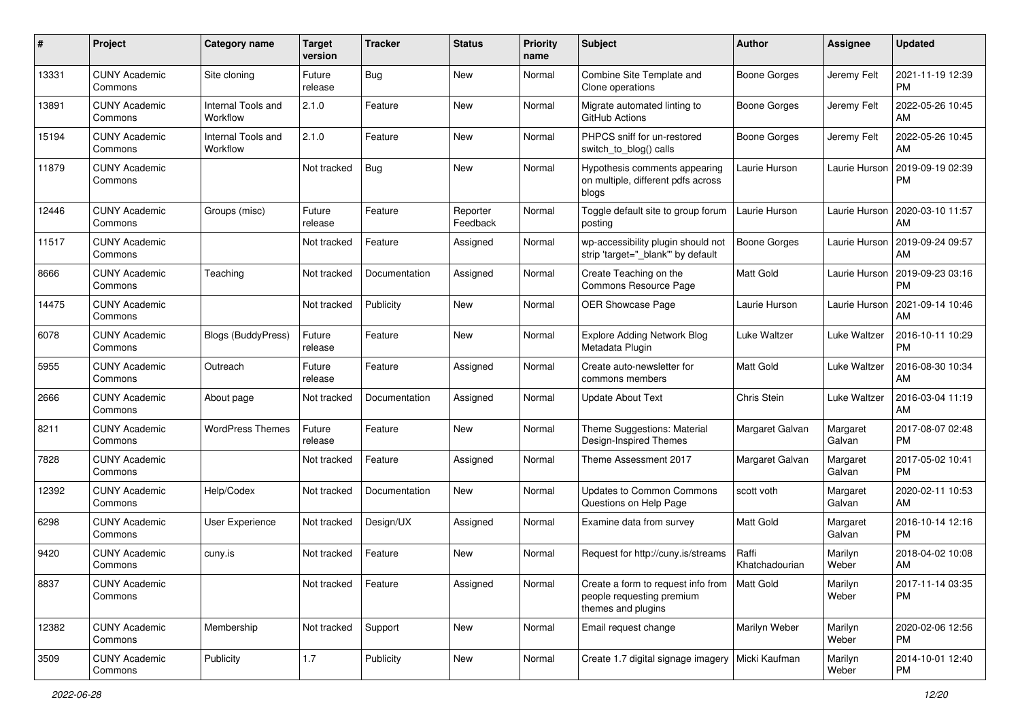| #     | Project                         | <b>Category name</b>           | <b>Target</b><br>version | <b>Tracker</b> | <b>Status</b>        | <b>Priority</b><br>name | <b>Subject</b>                                                                                    | Author                  | <b>Assignee</b>    | <b>Updated</b>                |
|-------|---------------------------------|--------------------------------|--------------------------|----------------|----------------------|-------------------------|---------------------------------------------------------------------------------------------------|-------------------------|--------------------|-------------------------------|
| 13331 | <b>CUNY Academic</b><br>Commons | Site cloning                   | Future<br>release        | <b>Bug</b>     | <b>New</b>           | Normal                  | Combine Site Template and<br>Clone operations                                                     | <b>Boone Gorges</b>     | Jeremy Felt        | 2021-11-19 12:39<br><b>PM</b> |
| 13891 | <b>CUNY Academic</b><br>Commons | Internal Tools and<br>Workflow | 2.1.0                    | Feature        | <b>New</b>           | Normal                  | Migrate automated linting to<br>GitHub Actions                                                    | <b>Boone Gorges</b>     | Jeremy Felt        | 2022-05-26 10:45<br>AM        |
| 15194 | <b>CUNY Academic</b><br>Commons | Internal Tools and<br>Workflow | 2.1.0                    | Feature        | <b>New</b>           | Normal                  | PHPCS sniff for un-restored<br>switch_to_blog() calls                                             | <b>Boone Gorges</b>     | Jeremy Felt        | 2022-05-26 10:45<br>AM        |
| 11879 | <b>CUNY Academic</b><br>Commons |                                | Not tracked              | <b>Bug</b>     | <b>New</b>           | Normal                  | Hypothesis comments appearing<br>on multiple, different pdfs across<br>blogs                      | Laurie Hurson           | Laurie Hurson      | 2019-09-19 02:39<br>PM        |
| 12446 | <b>CUNY Academic</b><br>Commons | Groups (misc)                  | Future<br>release        | Feature        | Reporter<br>Feedback | Normal                  | Toggle default site to group forum<br>posting                                                     | Laurie Hurson           | Laurie Hurson      | 2020-03-10 11:57<br>AM        |
| 11517 | <b>CUNY Academic</b><br>Commons |                                | Not tracked              | Feature        | Assigned             | Normal                  | wp-accessibility plugin should not<br>strip 'target="_blank" by default                           | <b>Boone Gorges</b>     | Laurie Hurson      | 2019-09-24 09:57<br>AM        |
| 8666  | <b>CUNY Academic</b><br>Commons | Teaching                       | Not tracked              | Documentation  | Assigned             | Normal                  | Create Teaching on the<br>Commons Resource Page                                                   | <b>Matt Gold</b>        | Laurie Hurson      | 2019-09-23 03:16<br><b>PM</b> |
| 14475 | <b>CUNY Academic</b><br>Commons |                                | Not tracked              | Publicity      | <b>New</b>           | Normal                  | <b>OER Showcase Page</b>                                                                          | Laurie Hurson           | Laurie Hurson      | 2021-09-14 10:46<br>AM        |
| 6078  | <b>CUNY Academic</b><br>Commons | <b>Blogs (BuddyPress)</b>      | Future<br>release        | Feature        | <b>New</b>           | Normal                  | <b>Explore Adding Network Blog</b><br>Metadata Plugin                                             | Luke Waltzer            | Luke Waltzer       | 2016-10-11 10:29<br>PM        |
| 5955  | <b>CUNY Academic</b><br>Commons | Outreach                       | Future<br>release        | Feature        | Assigned             | Normal                  | Create auto-newsletter for<br>commons members                                                     | <b>Matt Gold</b>        | Luke Waltzer       | 2016-08-30 10:34<br>AM        |
| 2666  | <b>CUNY Academic</b><br>Commons | About page                     | Not tracked              | Documentation  | Assigned             | Normal                  | <b>Update About Text</b>                                                                          | Chris Stein             | Luke Waltzer       | 2016-03-04 11:19<br>AM        |
| 8211  | <b>CUNY Academic</b><br>Commons | <b>WordPress Themes</b>        | Future<br>release        | Feature        | <b>New</b>           | Normal                  | Theme Suggestions: Material<br>Design-Inspired Themes                                             | Margaret Galvan         | Margaret<br>Galvan | 2017-08-07 02:48<br><b>PM</b> |
| 7828  | <b>CUNY Academic</b><br>Commons |                                | Not tracked              | Feature        | Assigned             | Normal                  | Theme Assessment 2017                                                                             | Margaret Galvan         | Margaret<br>Galvan | 2017-05-02 10:41<br><b>PM</b> |
| 12392 | <b>CUNY Academic</b><br>Commons | Help/Codex                     | Not tracked              | Documentation  | <b>New</b>           | Normal                  | <b>Updates to Common Commons</b><br>Questions on Help Page                                        | scott voth              | Margaret<br>Galvan | 2020-02-11 10:53<br>AM        |
| 6298  | <b>CUNY Academic</b><br>Commons | <b>User Experience</b>         | Not tracked              | Design/UX      | Assigned             | Normal                  | Examine data from survey                                                                          | <b>Matt Gold</b>        | Margaret<br>Galvan | 2016-10-14 12:16<br><b>PM</b> |
| 9420  | <b>CUNY Academic</b><br>Commons | cuny.is                        | Not tracked              | Feature        | <b>New</b>           | Normal                  | Request for http://cuny.is/streams                                                                | Raffi<br>Khatchadourian | Marilyn<br>Weber   | 2018-04-02 10:08<br>AM        |
| 8837  | <b>CUNY Academic</b><br>Commons |                                | Not tracked              | Feature        | Assigned             | Normal                  | Create a form to request info from   Matt Gold<br>people requesting premium<br>themes and plugins |                         | Marilyn<br>Weber   | 2017-11-14 03:35<br>PM        |
| 12382 | <b>CUNY Academic</b><br>Commons | Membership                     | Not tracked              | Support        | New                  | Normal                  | Email request change                                                                              | Marilyn Weber           | Marilyn<br>Weber   | 2020-02-06 12:56<br><b>PM</b> |
| 3509  | <b>CUNY Academic</b><br>Commons | Publicity                      | 1.7                      | Publicity      | New                  | Normal                  | Create 1.7 digital signage imagery   Micki Kaufman                                                |                         | Marilyn<br>Weber   | 2014-10-01 12:40<br>PM        |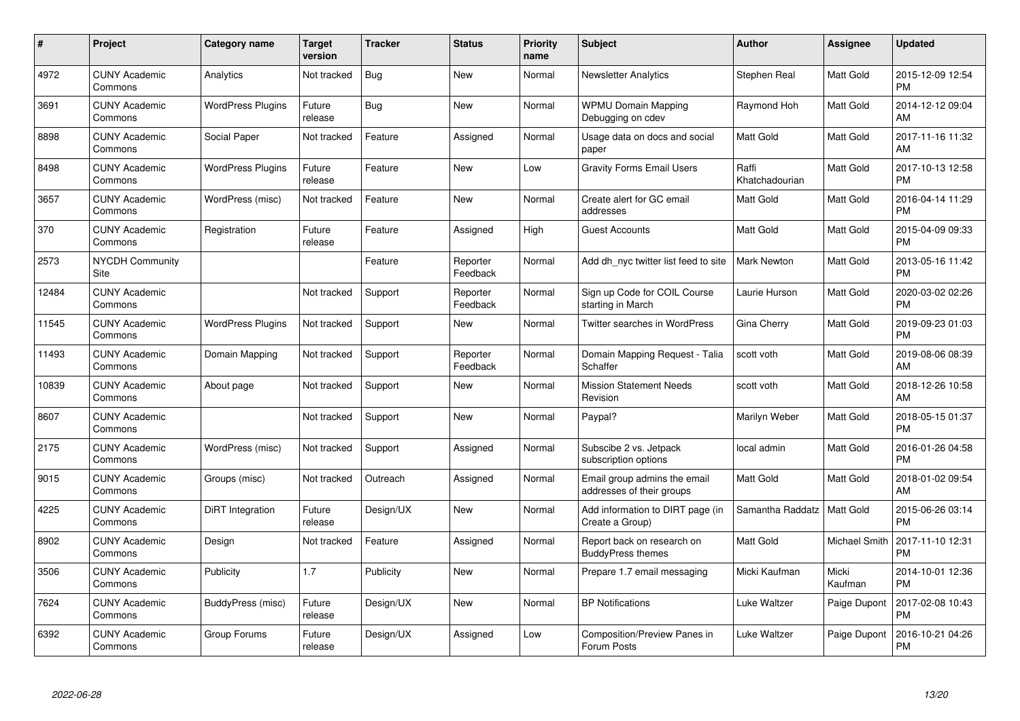| $\pmb{\#}$ | Project                         | Category name            | <b>Target</b><br>version | <b>Tracker</b> | <b>Status</b>        | <b>Priority</b><br>name | <b>Subject</b>                                            | Author                  | <b>Assignee</b>  | <b>Updated</b>                |
|------------|---------------------------------|--------------------------|--------------------------|----------------|----------------------|-------------------------|-----------------------------------------------------------|-------------------------|------------------|-------------------------------|
| 4972       | <b>CUNY Academic</b><br>Commons | Analytics                | Not tracked              | <b>Bug</b>     | <b>New</b>           | Normal                  | <b>Newsletter Analytics</b>                               | Stephen Real            | <b>Matt Gold</b> | 2015-12-09 12:54<br><b>PM</b> |
| 3691       | <b>CUNY Academic</b><br>Commons | <b>WordPress Plugins</b> | Future<br>release        | Bug            | <b>New</b>           | Normal                  | <b>WPMU Domain Mapping</b><br>Debugging on cdev           | Raymond Hoh             | <b>Matt Gold</b> | 2014-12-12 09:04<br>AM        |
| 8898       | <b>CUNY Academic</b><br>Commons | Social Paper             | Not tracked              | Feature        | Assigned             | Normal                  | Usage data on docs and social<br>paper                    | <b>Matt Gold</b>        | Matt Gold        | 2017-11-16 11:32<br>AM        |
| 8498       | <b>CUNY Academic</b><br>Commons | <b>WordPress Plugins</b> | Future<br>release        | Feature        | <b>New</b>           | Low                     | <b>Gravity Forms Email Users</b>                          | Raffi<br>Khatchadourian | Matt Gold        | 2017-10-13 12:58<br><b>PM</b> |
| 3657       | <b>CUNY Academic</b><br>Commons | WordPress (misc)         | Not tracked              | Feature        | <b>New</b>           | Normal                  | Create alert for GC email<br>addresses                    | <b>Matt Gold</b>        | Matt Gold        | 2016-04-14 11:29<br><b>PM</b> |
| 370        | <b>CUNY Academic</b><br>Commons | Registration             | Future<br>release        | Feature        | Assigned             | High                    | <b>Guest Accounts</b>                                     | <b>Matt Gold</b>        | <b>Matt Gold</b> | 2015-04-09 09:33<br><b>PM</b> |
| 2573       | <b>NYCDH Community</b><br>Site  |                          |                          | Feature        | Reporter<br>Feedback | Normal                  | Add dh nyc twitter list feed to site                      | <b>Mark Newton</b>      | <b>Matt Gold</b> | 2013-05-16 11:42<br><b>PM</b> |
| 12484      | <b>CUNY Academic</b><br>Commons |                          | Not tracked              | Support        | Reporter<br>Feedback | Normal                  | Sign up Code for COIL Course<br>starting in March         | Laurie Hurson           | Matt Gold        | 2020-03-02 02:26<br><b>PM</b> |
| 11545      | <b>CUNY Academic</b><br>Commons | <b>WordPress Plugins</b> | Not tracked              | Support        | <b>New</b>           | Normal                  | Twitter searches in WordPress                             | Gina Cherry             | <b>Matt Gold</b> | 2019-09-23 01:03<br><b>PM</b> |
| 11493      | <b>CUNY Academic</b><br>Commons | Domain Mapping           | Not tracked              | Support        | Reporter<br>Feedback | Normal                  | Domain Mapping Request - Talia<br>Schaffer                | scott voth              | <b>Matt Gold</b> | 2019-08-06 08:39<br>AM        |
| 10839      | <b>CUNY Academic</b><br>Commons | About page               | Not tracked              | Support        | <b>New</b>           | Normal                  | <b>Mission Statement Needs</b><br>Revision                | scott voth              | Matt Gold        | 2018-12-26 10:58<br>AM        |
| 8607       | <b>CUNY Academic</b><br>Commons |                          | Not tracked              | Support        | <b>New</b>           | Normal                  | Paypal?                                                   | Marilyn Weber           | Matt Gold        | 2018-05-15 01:37<br><b>PM</b> |
| 2175       | <b>CUNY Academic</b><br>Commons | WordPress (misc)         | Not tracked              | Support        | Assigned             | Normal                  | Subscibe 2 vs. Jetpack<br>subscription options            | local admin             | Matt Gold        | 2016-01-26 04:58<br><b>PM</b> |
| 9015       | <b>CUNY Academic</b><br>Commons | Groups (misc)            | Not tracked              | Outreach       | Assigned             | Normal                  | Email group admins the email<br>addresses of their groups | Matt Gold               | <b>Matt Gold</b> | 2018-01-02 09:54<br>AM        |
| 4225       | <b>CUNY Academic</b><br>Commons | DiRT Integration         | Future<br>release        | Design/UX      | <b>New</b>           | Normal                  | Add information to DIRT page (in<br>Create a Group)       | Samantha Raddatz        | Matt Gold        | 2015-06-26 03:14<br><b>PM</b> |
| 8902       | <b>CUNY Academic</b><br>Commons | Design                   | Not tracked              | Feature        | Assigned             | Normal                  | Report back on research on<br><b>BuddyPress themes</b>    | Matt Gold               | Michael Smith    | 2017-11-10 12:31<br><b>PM</b> |
| 3506       | <b>CUNY Academic</b><br>Commons | Publicity                | 1.7                      | Publicity      | <b>New</b>           | Normal                  | Prepare 1.7 email messaging                               | Micki Kaufman           | Micki<br>Kaufman | 2014-10-01 12:36<br><b>PM</b> |
| 7624       | <b>CUNY Academic</b><br>Commons | BuddyPress (misc)        | Future<br>release        | Design/UX      | <b>New</b>           | Normal                  | <b>BP</b> Notifications                                   | Luke Waltzer            | Paige Dupont     | 2017-02-08 10:43<br><b>PM</b> |
| 6392       | <b>CUNY Academic</b><br>Commons | Group Forums             | Future<br>release        | Design/UX      | Assigned             | Low                     | Composition/Preview Panes in<br>Forum Posts               | Luke Waltzer            | Paige Dupont     | 2016-10-21 04:26<br>PM        |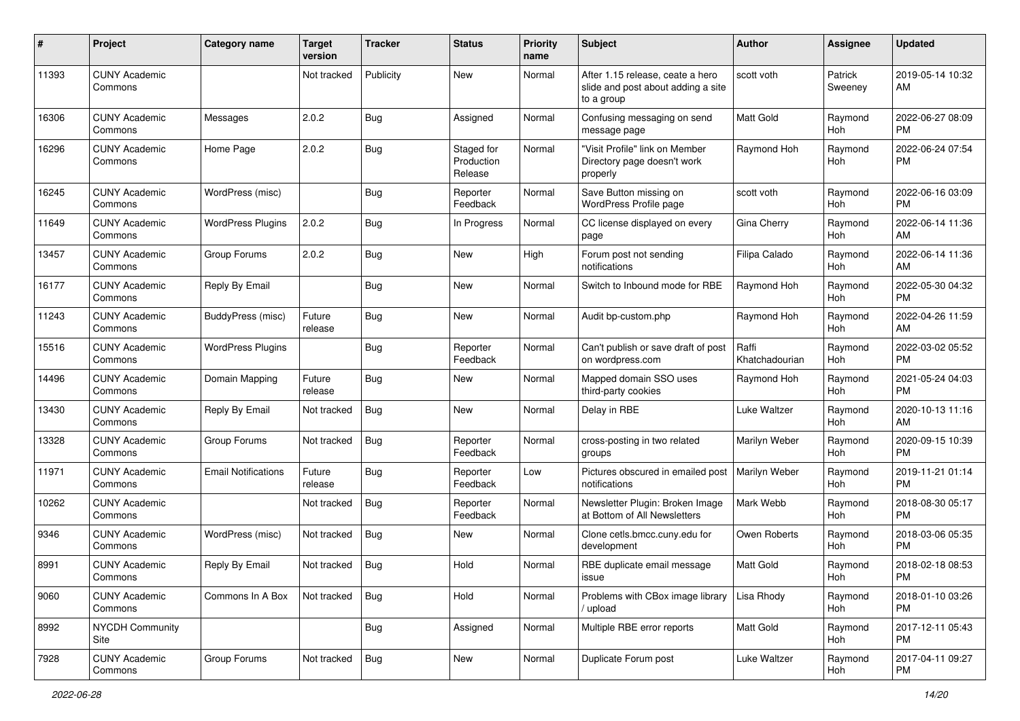| #     | Project                         | <b>Category name</b>       | <b>Target</b><br>version | <b>Tracker</b> | <b>Status</b>                       | <b>Priority</b><br>name | <b>Subject</b>                                                                       | Author                  | <b>Assignee</b>       | Updated                       |
|-------|---------------------------------|----------------------------|--------------------------|----------------|-------------------------------------|-------------------------|--------------------------------------------------------------------------------------|-------------------------|-----------------------|-------------------------------|
| 11393 | <b>CUNY Academic</b><br>Commons |                            | Not tracked              | Publicity      | New                                 | Normal                  | After 1.15 release, ceate a hero<br>slide and post about adding a site<br>to a group | scott voth              | Patrick<br>Sweeney    | 2019-05-14 10:32<br>AM        |
| 16306 | <b>CUNY Academic</b><br>Commons | Messages                   | 2.0.2                    | Bug            | Assigned                            | Normal                  | Confusing messaging on send<br>message page                                          | Matt Gold               | Raymond<br>Hoh        | 2022-06-27 08:09<br><b>PM</b> |
| 16296 | <b>CUNY Academic</b><br>Commons | Home Page                  | 2.0.2                    | <b>Bug</b>     | Staged for<br>Production<br>Release | Normal                  | "Visit Profile" link on Member<br>Directory page doesn't work<br>properly            | Raymond Hoh             | Raymond<br>Hoh        | 2022-06-24 07:54<br>РM        |
| 16245 | <b>CUNY Academic</b><br>Commons | WordPress (misc)           |                          | Bug            | Reporter<br>Feedback                | Normal                  | Save Button missing on<br>WordPress Profile page                                     | scott voth              | Raymond<br><b>Hoh</b> | 2022-06-16 03:09<br><b>PM</b> |
| 11649 | <b>CUNY Academic</b><br>Commons | <b>WordPress Plugins</b>   | 2.0.2                    | Bug            | In Progress                         | Normal                  | CC license displayed on every<br>page                                                | Gina Cherry             | Raymond<br><b>Hoh</b> | 2022-06-14 11:36<br>AM        |
| 13457 | <b>CUNY Academic</b><br>Commons | Group Forums               | 2.0.2                    | Bug            | New                                 | High                    | Forum post not sending<br>notifications                                              | Filipa Calado           | Raymond<br>Hoh        | 2022-06-14 11:36<br>AM        |
| 16177 | <b>CUNY Academic</b><br>Commons | Reply By Email             |                          | <b>Bug</b>     | New                                 | Normal                  | Switch to Inbound mode for RBE                                                       | Raymond Hoh             | Raymond<br><b>Hoh</b> | 2022-05-30 04:32<br><b>PM</b> |
| 11243 | <b>CUNY Academic</b><br>Commons | BuddyPress (misc)          | Future<br>release        | Bug            | New                                 | Normal                  | Audit bp-custom.php                                                                  | Raymond Hoh             | Raymond<br>Hoh        | 2022-04-26 11:59<br>AM        |
| 15516 | <b>CUNY Academic</b><br>Commons | <b>WordPress Plugins</b>   |                          | Bug            | Reporter<br>Feedback                | Normal                  | Can't publish or save draft of post<br>on wordpress.com                              | Raffi<br>Khatchadourian | Raymond<br>Hoh        | 2022-03-02 05:52<br>РM        |
| 14496 | <b>CUNY Academic</b><br>Commons | Domain Mapping             | Future<br>release        | <b>Bug</b>     | New                                 | Normal                  | Mapped domain SSO uses<br>third-party cookies                                        | Raymond Hoh             | Raymond<br>Hoh        | 2021-05-24 04:03<br><b>PM</b> |
| 13430 | <b>CUNY Academic</b><br>Commons | Reply By Email             | Not tracked              | Bug            | New                                 | Normal                  | Delay in RBE                                                                         | Luke Waltzer            | Raymond<br><b>Hoh</b> | 2020-10-13 11:16<br>AM        |
| 13328 | <b>CUNY Academic</b><br>Commons | Group Forums               | Not tracked              | Bug            | Reporter<br>Feedback                | Normal                  | cross-posting in two related<br>groups                                               | Marilyn Weber           | Raymond<br>Hoh        | 2020-09-15 10:39<br>РM        |
| 11971 | <b>CUNY Academic</b><br>Commons | <b>Email Notifications</b> | Future<br>release        | Bug            | Reporter<br>Feedback                | Low                     | Pictures obscured in emailed post<br>notifications                                   | Marilyn Weber           | Raymond<br><b>Hoh</b> | 2019-11-21 01:14<br><b>PM</b> |
| 10262 | <b>CUNY Academic</b><br>Commons |                            | Not tracked              | Bug            | Reporter<br>Feedback                | Normal                  | Newsletter Plugin: Broken Image<br>at Bottom of All Newsletters                      | Mark Webb               | Raymond<br><b>Hoh</b> | 2018-08-30 05:17<br><b>PM</b> |
| 9346  | <b>CUNY Academic</b><br>Commons | WordPress (misc)           | Not tracked              | Bug            | New                                 | Normal                  | Clone cetls.bmcc.cuny.edu for<br>development                                         | Owen Roberts            | Raymond<br>Hoh        | 2018-03-06 05:35<br>PМ        |
| 8991  | <b>CUNY Academic</b><br>Commons | Reply By Email             | Not tracked              | Bug            | Hold                                | Normal                  | RBE duplicate email message<br>ıssue                                                 | Matt Gold               | Raymond<br>Hoh        | 2018-02-18 08:53<br>PM        |
| 9060  | <b>CUNY Academic</b><br>Commons | Commons In A Box           | Not tracked              | Bug            | Hold                                | Normal                  | Problems with CBox image library<br>upload                                           | Lisa Rhody              | Raymond<br>Hoh        | 2018-01-10 03:26<br>PM        |
| 8992  | <b>NYCDH Community</b><br>Site  |                            |                          | <b>Bug</b>     | Assigned                            | Normal                  | Multiple RBE error reports                                                           | Matt Gold               | Raymond<br>Hoh        | 2017-12-11 05:43<br><b>PM</b> |
| 7928  | <b>CUNY Academic</b><br>Commons | Group Forums               | Not tracked              | Bug            | New                                 | Normal                  | Duplicate Forum post                                                                 | Luke Waltzer            | Raymond<br>Hoh        | 2017-04-11 09:27<br>PM        |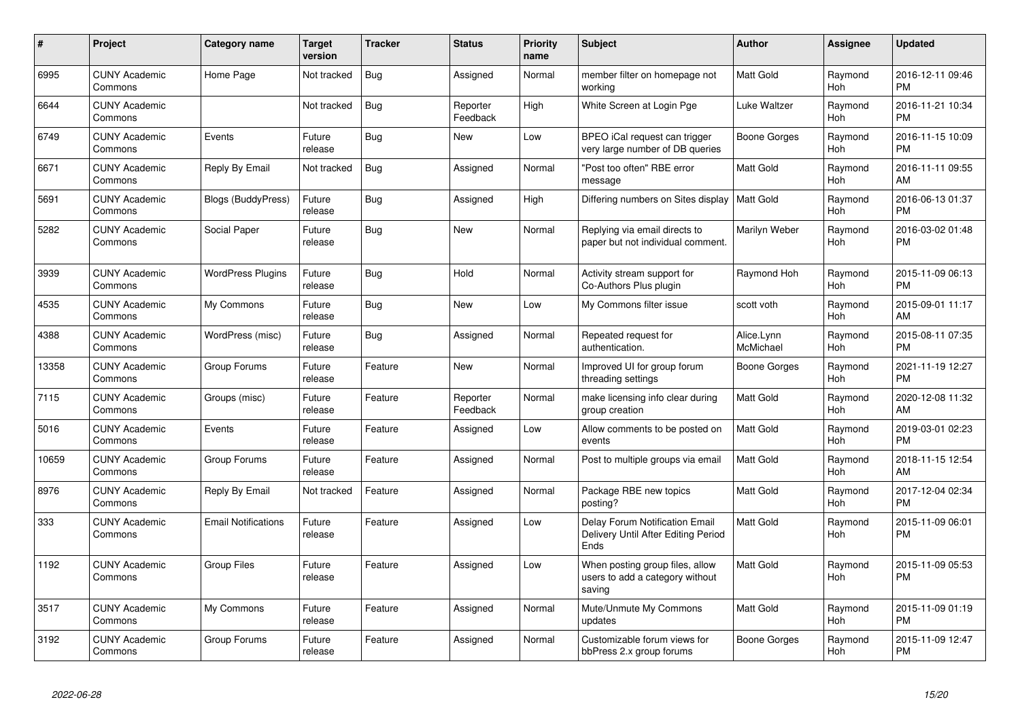| #     | <b>Project</b>                  | Category name              | <b>Target</b><br>version | <b>Tracker</b> | <b>Status</b>        | <b>Priority</b><br>name | Subject                                                                       | <b>Author</b>           | Assignee              | <b>Updated</b>                |
|-------|---------------------------------|----------------------------|--------------------------|----------------|----------------------|-------------------------|-------------------------------------------------------------------------------|-------------------------|-----------------------|-------------------------------|
| 6995  | <b>CUNY Academic</b><br>Commons | Home Page                  | Not tracked              | Bug            | Assigned             | Normal                  | member filter on homepage not<br>working                                      | <b>Matt Gold</b>        | Raymond<br>Hoh        | 2016-12-11 09:46<br><b>PM</b> |
| 6644  | <b>CUNY Academic</b><br>Commons |                            | Not tracked              | Bug            | Reporter<br>Feedback | High                    | White Screen at Login Pge                                                     | Luke Waltzer            | Raymond<br><b>Hoh</b> | 2016-11-21 10:34<br><b>PM</b> |
| 6749  | <b>CUNY Academic</b><br>Commons | Events                     | Future<br>release        | Bug            | <b>New</b>           | Low                     | BPEO iCal request can trigger<br>very large number of DB queries              | Boone Gorges            | Raymond<br>Hoh        | 2016-11-15 10:09<br><b>PM</b> |
| 6671  | <b>CUNY Academic</b><br>Commons | Reply By Email             | Not tracked              | <b>Bug</b>     | Assigned             | Normal                  | "Post too often" RBE error<br>message                                         | Matt Gold               | Raymond<br>Hoh        | 2016-11-11 09:55<br>AM        |
| 5691  | <b>CUNY Academic</b><br>Commons | Blogs (BuddyPress)         | Future<br>release        | Bug            | Assigned             | High                    | Differing numbers on Sites display   Matt Gold                                |                         | Raymond<br>Hoh        | 2016-06-13 01:37<br><b>PM</b> |
| 5282  | <b>CUNY Academic</b><br>Commons | Social Paper               | Future<br>release        | Bug            | <b>New</b>           | Normal                  | Replying via email directs to<br>paper but not individual comment.            | Marilyn Weber           | Raymond<br>Hoh        | 2016-03-02 01:48<br><b>PM</b> |
| 3939  | <b>CUNY Academic</b><br>Commons | <b>WordPress Plugins</b>   | Future<br>release        | <b>Bug</b>     | Hold                 | Normal                  | Activity stream support for<br>Co-Authors Plus plugin                         | Raymond Hoh             | Raymond<br><b>Hoh</b> | 2015-11-09 06:13<br><b>PM</b> |
| 4535  | <b>CUNY Academic</b><br>Commons | My Commons                 | Future<br>release        | Bug            | <b>New</b>           | Low                     | My Commons filter issue                                                       | scott voth              | Raymond<br>Hoh        | 2015-09-01 11:17<br>AM        |
| 4388  | <b>CUNY Academic</b><br>Commons | WordPress (misc)           | Future<br>release        | <b>Bug</b>     | Assigned             | Normal                  | Repeated request for<br>authentication.                                       | Alice.Lynn<br>McMichael | Raymond<br>Hoh        | 2015-08-11 07:35<br><b>PM</b> |
| 13358 | <b>CUNY Academic</b><br>Commons | Group Forums               | Future<br>release        | Feature        | <b>New</b>           | Normal                  | Improved UI for group forum<br>threading settings                             | Boone Gorges            | Raymond<br>Hoh        | 2021-11-19 12:27<br><b>PM</b> |
| 7115  | <b>CUNY Academic</b><br>Commons | Groups (misc)              | Future<br>release        | Feature        | Reporter<br>Feedback | Normal                  | make licensing info clear during<br>group creation                            | <b>Matt Gold</b>        | Raymond<br>Hoh        | 2020-12-08 11:32<br>AM        |
| 5016  | <b>CUNY Academic</b><br>Commons | Events                     | Future<br>release        | Feature        | Assigned             | Low                     | Allow comments to be posted on<br>events                                      | <b>Matt Gold</b>        | Raymond<br><b>Hoh</b> | 2019-03-01 02:23<br><b>PM</b> |
| 10659 | <b>CUNY Academic</b><br>Commons | Group Forums               | Future<br>release        | Feature        | Assigned             | Normal                  | Post to multiple groups via email                                             | Matt Gold               | Raymond<br><b>Hoh</b> | 2018-11-15 12:54<br>AM        |
| 8976  | <b>CUNY Academic</b><br>Commons | Reply By Email             | Not tracked              | Feature        | Assigned             | Normal                  | Package RBE new topics<br>posting?                                            | Matt Gold               | Raymond<br><b>Hoh</b> | 2017-12-04 02:34<br><b>PM</b> |
| 333   | <b>CUNY Academic</b><br>Commons | <b>Email Notifications</b> | Future<br>release        | Feature        | Assigned             | Low                     | Delay Forum Notification Email<br>Delivery Until After Editing Period<br>Ends | Matt Gold               | Raymond<br>Hoh        | 2015-11-09 06:01<br><b>PM</b> |
| 1192  | <b>CUNY Academic</b><br>Commons | <b>Group Files</b>         | Future<br>release        | Feature        | Assigned             | Low                     | When posting group files, allow<br>users to add a category without<br>saving  | <b>Matt Gold</b>        | Raymond<br>Hoh        | 2015-11-09 05:53<br><b>PM</b> |
| 3517  | <b>CUNY Academic</b><br>Commons | My Commons                 | Future<br>release        | Feature        | Assigned             | Normal                  | Mute/Unmute My Commons<br>updates                                             | <b>Matt Gold</b>        | Raymond<br>Hoh        | 2015-11-09 01:19<br><b>PM</b> |
| 3192  | <b>CUNY Academic</b><br>Commons | Group Forums               | Future<br>release        | Feature        | Assigned             | Normal                  | Customizable forum views for<br>bbPress 2.x group forums                      | Boone Gorges            | Raymond<br>Hoh        | 2015-11-09 12:47<br><b>PM</b> |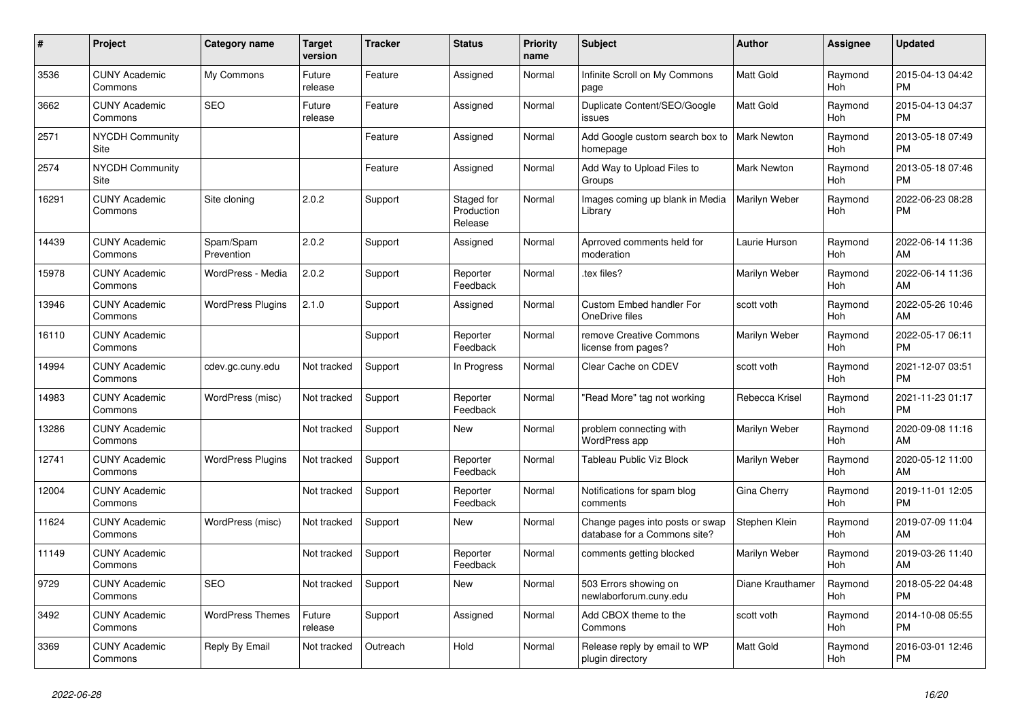| #     | Project                         | <b>Category name</b>     | <b>Target</b><br>version | <b>Tracker</b> | <b>Status</b>                       | Priority<br>name | <b>Subject</b>                                                  | <b>Author</b>      | Assignee              | <b>Updated</b>                |
|-------|---------------------------------|--------------------------|--------------------------|----------------|-------------------------------------|------------------|-----------------------------------------------------------------|--------------------|-----------------------|-------------------------------|
| 3536  | <b>CUNY Academic</b><br>Commons | My Commons               | Future<br>release        | Feature        | Assigned                            | Normal           | Infinite Scroll on My Commons<br>page                           | Matt Gold          | Raymond<br>Hoh        | 2015-04-13 04:42<br><b>PM</b> |
| 3662  | <b>CUNY Academic</b><br>Commons | <b>SEO</b>               | Future<br>release        | Feature        | Assigned                            | Normal           | Duplicate Content/SEO/Google<br>issues                          | Matt Gold          | Raymond<br><b>Hoh</b> | 2015-04-13 04:37<br><b>PM</b> |
| 2571  | <b>NYCDH Community</b><br>Site  |                          |                          | Feature        | Assigned                            | Normal           | Add Google custom search box to<br>homepage                     | <b>Mark Newton</b> | Raymond<br><b>Hoh</b> | 2013-05-18 07:49<br><b>PM</b> |
| 2574  | NYCDH Community<br>Site         |                          |                          | Feature        | Assigned                            | Normal           | Add Way to Upload Files to<br>Groups                            | <b>Mark Newton</b> | Raymond<br><b>Hoh</b> | 2013-05-18 07:46<br><b>PM</b> |
| 16291 | <b>CUNY Academic</b><br>Commons | Site cloning             | 2.0.2                    | Support        | Staged for<br>Production<br>Release | Normal           | Images coming up blank in Media<br>Library                      | Marilyn Weber      | Raymond<br><b>Hoh</b> | 2022-06-23 08:28<br><b>PM</b> |
| 14439 | <b>CUNY Academic</b><br>Commons | Spam/Spam<br>Prevention  | 2.0.2                    | Support        | Assigned                            | Normal           | Aprroved comments held for<br>moderation                        | Laurie Hurson      | Raymond<br><b>Hoh</b> | 2022-06-14 11:36<br>AM        |
| 15978 | <b>CUNY Academic</b><br>Commons | WordPress - Media        | 2.0.2                    | Support        | Reporter<br>Feedback                | Normal           | tex files?                                                      | Marilyn Weber      | Raymond<br>Hoh        | 2022-06-14 11:36<br>AM        |
| 13946 | <b>CUNY Academic</b><br>Commons | <b>WordPress Plugins</b> | 2.1.0                    | Support        | Assigned                            | Normal           | <b>Custom Embed handler For</b><br>OneDrive files               | scott voth         | Raymond<br><b>Hoh</b> | 2022-05-26 10:46<br>AM        |
| 16110 | <b>CUNY Academic</b><br>Commons |                          |                          | Support        | Reporter<br>Feedback                | Normal           | remove Creative Commons<br>license from pages?                  | Marilyn Weber      | Raymond<br>Hoh        | 2022-05-17 06:11<br><b>PM</b> |
| 14994 | <b>CUNY Academic</b><br>Commons | cdev.gc.cuny.edu         | Not tracked              | Support        | In Progress                         | Normal           | Clear Cache on CDEV                                             | scott voth         | Raymond<br>Hoh        | 2021-12-07 03:51<br><b>PM</b> |
| 14983 | <b>CUNY Academic</b><br>Commons | WordPress (misc)         | Not tracked              | Support        | Reporter<br>Feedback                | Normal           | "Read More" tag not working                                     | Rebecca Krisel     | Raymond<br>Hoh        | 2021-11-23 01:17<br><b>PM</b> |
| 13286 | <b>CUNY Academic</b><br>Commons |                          | Not tracked              | Support        | New                                 | Normal           | problem connecting with<br>WordPress app                        | Marilyn Weber      | Raymond<br>Hoh        | 2020-09-08 11:16<br>AM        |
| 12741 | <b>CUNY Academic</b><br>Commons | <b>WordPress Plugins</b> | Not tracked              | Support        | Reporter<br>Feedback                | Normal           | Tableau Public Viz Block                                        | Marilyn Weber      | Raymond<br>Hoh        | 2020-05-12 11:00<br>AM        |
| 12004 | <b>CUNY Academic</b><br>Commons |                          | Not tracked              | Support        | Reporter<br>Feedback                | Normal           | Notifications for spam blog<br>comments                         | Gina Cherry        | Raymond<br>Hoh        | 2019-11-01 12:05<br><b>PM</b> |
| 11624 | <b>CUNY Academic</b><br>Commons | WordPress (misc)         | Not tracked              | Support        | New                                 | Normal           | Change pages into posts or swap<br>database for a Commons site? | Stephen Klein      | Raymond<br><b>Hoh</b> | 2019-07-09 11:04<br>AM        |
| 11149 | <b>CUNY Academic</b><br>Commons |                          | Not tracked              | Support        | Reporter<br>Feedback                | Normal           | comments getting blocked                                        | Marilyn Weber      | Raymond<br><b>Hoh</b> | 2019-03-26 11:40<br>AM        |
| 9729  | <b>CUNY Academic</b><br>Commons | <b>SEO</b>               | Not tracked              | Support        | <b>New</b>                          | Normal           | 503 Errors showing on<br>newlaborforum.cuny.edu                 | Diane Krauthamer   | Raymond<br>Hoh        | 2018-05-22 04:48<br><b>PM</b> |
| 3492  | <b>CUNY Academic</b><br>Commons | <b>WordPress Themes</b>  | Future<br>release        | Support        | Assigned                            | Normal           | Add CBOX theme to the<br>Commons                                | scott voth         | Raymond<br><b>Hoh</b> | 2014-10-08 05:55<br><b>PM</b> |
| 3369  | <b>CUNY Academic</b><br>Commons | Reply By Email           | Not tracked              | Outreach       | Hold                                | Normal           | Release reply by email to WP<br>plugin directory                | Matt Gold          | Raymond<br>Hoh        | 2016-03-01 12:46<br><b>PM</b> |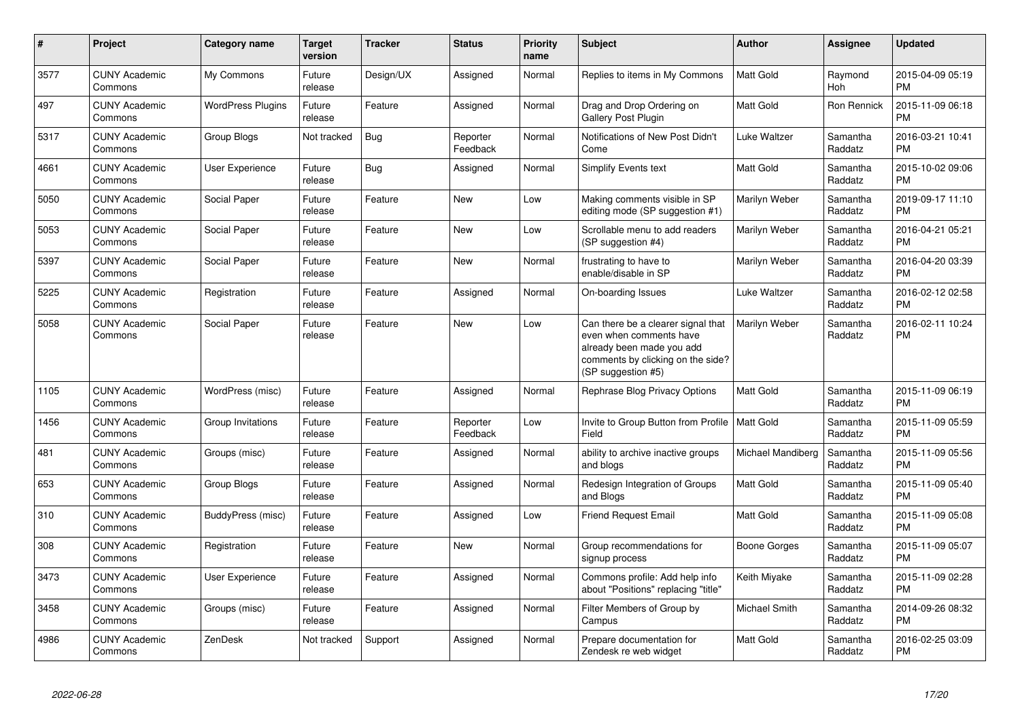| $\#$ | Project                         | Category name            | <b>Target</b><br>version | <b>Tracker</b> | <b>Status</b>        | <b>Priority</b><br>name | <b>Subject</b>                                                                                                                                        | <b>Author</b>       | <b>Assignee</b>       | <b>Updated</b>                |
|------|---------------------------------|--------------------------|--------------------------|----------------|----------------------|-------------------------|-------------------------------------------------------------------------------------------------------------------------------------------------------|---------------------|-----------------------|-------------------------------|
| 3577 | <b>CUNY Academic</b><br>Commons | My Commons               | Future<br>release        | Design/UX      | Assigned             | Normal                  | Replies to items in My Commons                                                                                                                        | <b>Matt Gold</b>    | Raymond<br><b>Hoh</b> | 2015-04-09 05:19<br><b>PM</b> |
| 497  | <b>CUNY Academic</b><br>Commons | <b>WordPress Plugins</b> | Future<br>release        | Feature        | Assigned             | Normal                  | Drag and Drop Ordering on<br><b>Gallery Post Plugin</b>                                                                                               | <b>Matt Gold</b>    | Ron Rennick           | 2015-11-09 06:18<br><b>PM</b> |
| 5317 | <b>CUNY Academic</b><br>Commons | Group Blogs              | Not tracked              | <b>Bug</b>     | Reporter<br>Feedback | Normal                  | Notifications of New Post Didn't<br>Come                                                                                                              | Luke Waltzer        | Samantha<br>Raddatz   | 2016-03-21 10:41<br><b>PM</b> |
| 4661 | <b>CUNY Academic</b><br>Commons | <b>User Experience</b>   | Future<br>release        | <b>Bug</b>     | Assigned             | Normal                  | <b>Simplify Events text</b>                                                                                                                           | <b>Matt Gold</b>    | Samantha<br>Raddatz   | 2015-10-02 09:06<br><b>PM</b> |
| 5050 | <b>CUNY Academic</b><br>Commons | Social Paper             | Future<br>release        | Feature        | <b>New</b>           | Low                     | Making comments visible in SP<br>editing mode (SP suggestion #1)                                                                                      | Marilyn Weber       | Samantha<br>Raddatz   | 2019-09-17 11:10<br><b>PM</b> |
| 5053 | <b>CUNY Academic</b><br>Commons | Social Paper             | Future<br>release        | Feature        | <b>New</b>           | Low                     | Scrollable menu to add readers<br>(SP suggestion #4)                                                                                                  | Marilyn Weber       | Samantha<br>Raddatz   | 2016-04-21 05:21<br><b>PM</b> |
| 5397 | <b>CUNY Academic</b><br>Commons | Social Paper             | Future<br>release        | Feature        | <b>New</b>           | Normal                  | frustrating to have to<br>enable/disable in SP                                                                                                        | Marilyn Weber       | Samantha<br>Raddatz   | 2016-04-20 03:39<br><b>PM</b> |
| 5225 | <b>CUNY Academic</b><br>Commons | Registration             | Future<br>release        | Feature        | Assigned             | Normal                  | On-boarding Issues                                                                                                                                    | Luke Waltzer        | Samantha<br>Raddatz   | 2016-02-12 02:58<br><b>PM</b> |
| 5058 | <b>CUNY Academic</b><br>Commons | Social Paper             | Future<br>release        | Feature        | <b>New</b>           | Low                     | Can there be a clearer signal that<br>even when comments have<br>already been made you add<br>comments by clicking on the side?<br>(SP suggestion #5) | Marilyn Weber       | Samantha<br>Raddatz   | 2016-02-11 10:24<br><b>PM</b> |
| 1105 | <b>CUNY Academic</b><br>Commons | WordPress (misc)         | Future<br>release        | Feature        | Assigned             | Normal                  | Rephrase Blog Privacy Options                                                                                                                         | <b>Matt Gold</b>    | Samantha<br>Raddatz   | 2015-11-09 06:19<br><b>PM</b> |
| 1456 | <b>CUNY Academic</b><br>Commons | Group Invitations        | Future<br>release        | Feature        | Reporter<br>Feedback | Low                     | Invite to Group Button from Profile<br>Field                                                                                                          | <b>Matt Gold</b>    | Samantha<br>Raddatz   | 2015-11-09 05:59<br><b>PM</b> |
| 481  | <b>CUNY Academic</b><br>Commons | Groups (misc)            | Future<br>release        | Feature        | Assigned             | Normal                  | ability to archive inactive groups<br>and blogs                                                                                                       | Michael Mandiberg   | Samantha<br>Raddatz   | 2015-11-09 05:56<br><b>PM</b> |
| 653  | <b>CUNY Academic</b><br>Commons | Group Blogs              | Future<br>release        | Feature        | Assigned             | Normal                  | Redesign Integration of Groups<br>and Blogs                                                                                                           | <b>Matt Gold</b>    | Samantha<br>Raddatz   | 2015-11-09 05:40<br><b>PM</b> |
| 310  | <b>CUNY Academic</b><br>Commons | BuddyPress (misc)        | Future<br>release        | Feature        | Assigned             | Low                     | <b>Friend Request Email</b>                                                                                                                           | Matt Gold           | Samantha<br>Raddatz   | 2015-11-09 05:08<br><b>PM</b> |
| 308  | <b>CUNY Academic</b><br>Commons | Registration             | Future<br>release        | Feature        | <b>New</b>           | Normal                  | Group recommendations for<br>signup process                                                                                                           | <b>Boone Gorges</b> | Samantha<br>Raddatz   | 2015-11-09 05:07<br><b>PM</b> |
| 3473 | <b>CUNY Academic</b><br>Commons | <b>User Experience</b>   | Future<br>release        | Feature        | Assigned             | Normal                  | Commons profile: Add help info<br>about "Positions" replacing "title"                                                                                 | Keith Miyake        | Samantha<br>Raddatz   | 2015-11-09 02:28<br><b>PM</b> |
| 3458 | <b>CUNY Academic</b><br>Commons | Groups (misc)            | Future<br>release        | Feature        | Assigned             | Normal                  | Filter Members of Group by<br>Campus                                                                                                                  | Michael Smith       | Samantha<br>Raddatz   | 2014-09-26 08:32<br><b>PM</b> |
| 4986 | <b>CUNY Academic</b><br>Commons | ZenDesk                  | Not tracked              | Support        | Assigned             | Normal                  | Prepare documentation for<br>Zendesk re web widget                                                                                                    | <b>Matt Gold</b>    | Samantha<br>Raddatz   | 2016-02-25 03:09<br><b>PM</b> |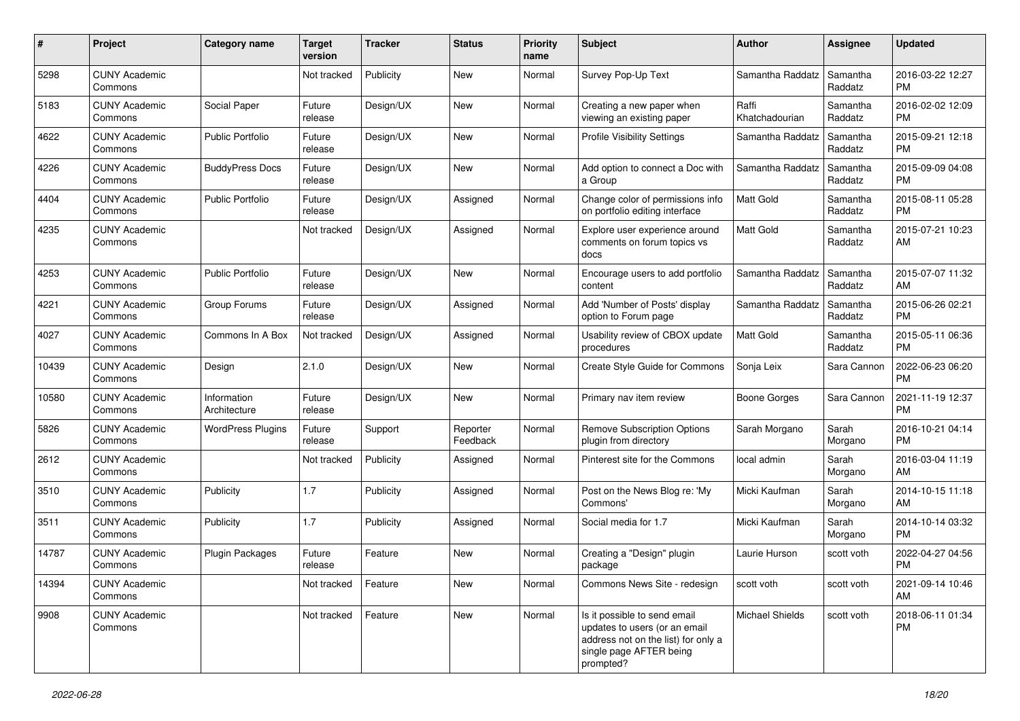| #     | Project                         | <b>Category name</b>        | <b>Target</b><br>version | <b>Tracker</b> | <b>Status</b>        | <b>Priority</b><br>name | <b>Subject</b>                                                                                                                               | <b>Author</b>           | <b>Assignee</b>     | <b>Updated</b>                |
|-------|---------------------------------|-----------------------------|--------------------------|----------------|----------------------|-------------------------|----------------------------------------------------------------------------------------------------------------------------------------------|-------------------------|---------------------|-------------------------------|
| 5298  | <b>CUNY Academic</b><br>Commons |                             | Not tracked              | Publicity      | <b>New</b>           | Normal                  | Survey Pop-Up Text                                                                                                                           | Samantha Raddatz        | Samantha<br>Raddatz | 2016-03-22 12:27<br><b>PM</b> |
| 5183  | <b>CUNY Academic</b><br>Commons | Social Paper                | Future<br>release        | Design/UX      | New                  | Normal                  | Creating a new paper when<br>viewing an existing paper                                                                                       | Raffi<br>Khatchadourian | Samantha<br>Raddatz | 2016-02-02 12:09<br><b>PM</b> |
| 4622  | <b>CUNY Academic</b><br>Commons | <b>Public Portfolio</b>     | Future<br>release        | Design/UX      | New                  | Normal                  | <b>Profile Visibility Settings</b>                                                                                                           | Samantha Raddatz        | Samantha<br>Raddatz | 2015-09-21 12:18<br><b>PM</b> |
| 4226  | <b>CUNY Academic</b><br>Commons | <b>BuddyPress Docs</b>      | Future<br>release        | Design/UX      | <b>New</b>           | Normal                  | Add option to connect a Doc with<br>a Group                                                                                                  | Samantha Raddatz        | Samantha<br>Raddatz | 2015-09-09 04:08<br><b>PM</b> |
| 4404  | <b>CUNY Academic</b><br>Commons | <b>Public Portfolio</b>     | Future<br>release        | Design/UX      | Assigned             | Normal                  | Change color of permissions info<br>on portfolio editing interface                                                                           | <b>Matt Gold</b>        | Samantha<br>Raddatz | 2015-08-11 05:28<br><b>PM</b> |
| 4235  | <b>CUNY Academic</b><br>Commons |                             | Not tracked              | Design/UX      | Assigned             | Normal                  | Explore user experience around<br>comments on forum topics vs<br>docs                                                                        | <b>Matt Gold</b>        | Samantha<br>Raddatz | 2015-07-21 10:23<br>AM        |
| 4253  | <b>CUNY Academic</b><br>Commons | <b>Public Portfolio</b>     | Future<br>release        | Design/UX      | <b>New</b>           | Normal                  | Encourage users to add portfolio<br>content                                                                                                  | Samantha Raddatz        | Samantha<br>Raddatz | 2015-07-07 11:32<br>AM        |
| 4221  | <b>CUNY Academic</b><br>Commons | Group Forums                | Future<br>release        | Design/UX      | Assigned             | Normal                  | Add 'Number of Posts' display<br>option to Forum page                                                                                        | Samantha Raddatz        | Samantha<br>Raddatz | 2015-06-26 02:21<br><b>PM</b> |
| 4027  | <b>CUNY Academic</b><br>Commons | Commons In A Box            | Not tracked              | Design/UX      | Assigned             | Normal                  | Usability review of CBOX update<br>procedures                                                                                                | Matt Gold               | Samantha<br>Raddatz | 2015-05-11 06:36<br><b>PM</b> |
| 10439 | <b>CUNY Academic</b><br>Commons | Design                      | 2.1.0                    | Design/UX      | New                  | Normal                  | Create Style Guide for Commons                                                                                                               | Sonja Leix              | Sara Cannon         | 2022-06-23 06:20<br><b>PM</b> |
| 10580 | <b>CUNY Academic</b><br>Commons | Information<br>Architecture | Future<br>release        | Design/UX      | New                  | Normal                  | Primary nav item review                                                                                                                      | <b>Boone Gorges</b>     | Sara Cannon         | 2021-11-19 12:37<br><b>PM</b> |
| 5826  | <b>CUNY Academic</b><br>Commons | <b>WordPress Plugins</b>    | Future<br>release        | Support        | Reporter<br>Feedback | Normal                  | <b>Remove Subscription Options</b><br>plugin from directory                                                                                  | Sarah Morgano           | Sarah<br>Morgano    | 2016-10-21 04:14<br><b>PM</b> |
| 2612  | <b>CUNY Academic</b><br>Commons |                             | Not tracked              | Publicity      | Assigned             | Normal                  | Pinterest site for the Commons                                                                                                               | local admin             | Sarah<br>Morgano    | 2016-03-04 11:19<br>AM        |
| 3510  | <b>CUNY Academic</b><br>Commons | Publicity                   | 1.7                      | Publicity      | Assigned             | Normal                  | Post on the News Blog re: 'My<br>Commons'                                                                                                    | Micki Kaufman           | Sarah<br>Morgano    | 2014-10-15 11:18<br>AM        |
| 3511  | <b>CUNY Academic</b><br>Commons | Publicity                   | 1.7                      | Publicity      | Assigned             | Normal                  | Social media for 1.7                                                                                                                         | Micki Kaufman           | Sarah<br>Morgano    | 2014-10-14 03:32<br><b>PM</b> |
| 14787 | <b>CUNY Academic</b><br>Commons | <b>Plugin Packages</b>      | Future<br>release        | Feature        | New                  | Normal                  | Creating a "Design" plugin<br>package                                                                                                        | Laurie Hurson           | scott voth          | 2022-04-27 04:56<br><b>PM</b> |
| 14394 | <b>CUNY Academic</b><br>Commons |                             | Not tracked              | Feature        | New                  | Normal                  | Commons News Site - redesign                                                                                                                 | scott voth              | scott voth          | 2021-09-14 10:46<br>AM        |
| 9908  | <b>CUNY Academic</b><br>Commons |                             | Not tracked              | Feature        | New                  | Normal                  | Is it possible to send email<br>updates to users (or an email<br>address not on the list) for only a<br>single page AFTER being<br>prompted? | Michael Shields         | scott voth          | 2018-06-11 01:34<br><b>PM</b> |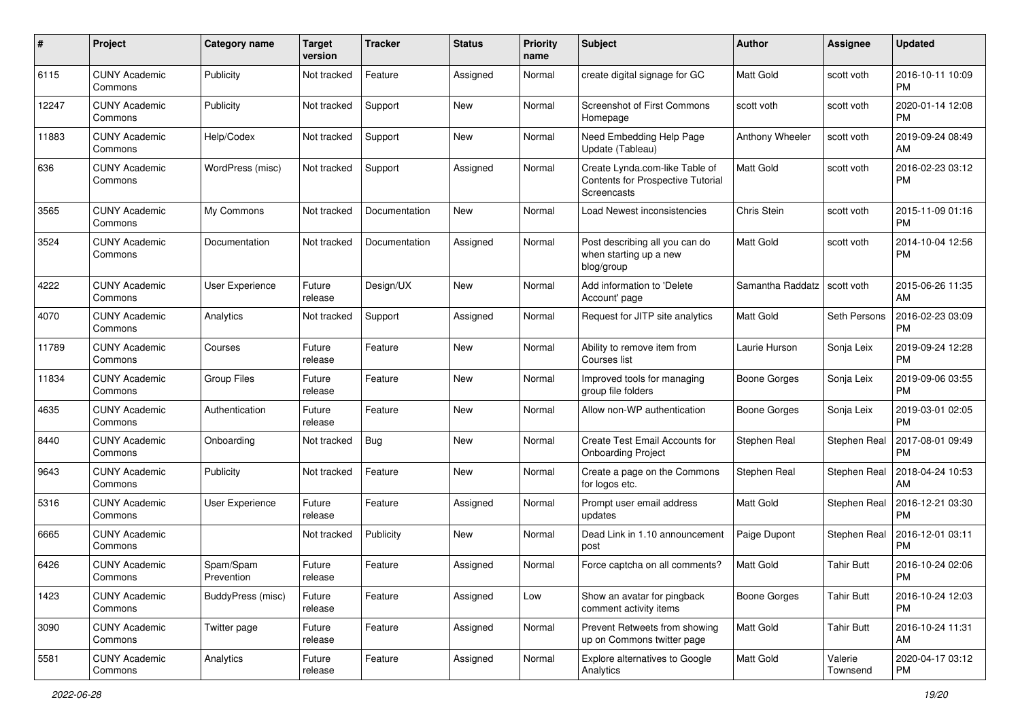| #     | Project                         | <b>Category name</b>    | <b>Target</b><br>version | <b>Tracker</b> | <b>Status</b> | <b>Priority</b><br>name | <b>Subject</b>                                                                     | <b>Author</b>       | Assignee            | <b>Updated</b>                |
|-------|---------------------------------|-------------------------|--------------------------|----------------|---------------|-------------------------|------------------------------------------------------------------------------------|---------------------|---------------------|-------------------------------|
| 6115  | <b>CUNY Academic</b><br>Commons | Publicity               | Not tracked              | Feature        | Assigned      | Normal                  | create digital signage for GC                                                      | Matt Gold           | scott voth          | 2016-10-11 10:09<br><b>PM</b> |
| 12247 | <b>CUNY Academic</b><br>Commons | Publicity               | Not tracked              | Support        | New           | Normal                  | <b>Screenshot of First Commons</b><br>Homepage                                     | scott voth          | scott voth          | 2020-01-14 12:08<br><b>PM</b> |
| 11883 | <b>CUNY Academic</b><br>Commons | Help/Codex              | Not tracked              | Support        | New           | Normal                  | Need Embedding Help Page<br>Update (Tableau)                                       | Anthony Wheeler     | scott voth          | 2019-09-24 08:49<br>AM        |
| 636   | <b>CUNY Academic</b><br>Commons | WordPress (misc)        | Not tracked              | Support        | Assigned      | Normal                  | Create Lynda.com-like Table of<br>Contents for Prospective Tutorial<br>Screencasts | Matt Gold           | scott voth          | 2016-02-23 03:12<br><b>PM</b> |
| 3565  | <b>CUNY Academic</b><br>Commons | My Commons              | Not tracked              | Documentation  | New           | Normal                  | Load Newest inconsistencies                                                        | <b>Chris Stein</b>  | scott voth          | 2015-11-09 01:16<br><b>PM</b> |
| 3524  | <b>CUNY Academic</b><br>Commons | Documentation           | Not tracked              | Documentation  | Assigned      | Normal                  | Post describing all you can do<br>when starting up a new<br>blog/group             | Matt Gold           | scott voth          | 2014-10-04 12:56<br><b>PM</b> |
| 4222  | <b>CUNY Academic</b><br>Commons | User Experience         | Future<br>release        | Design/UX      | New           | Normal                  | Add information to 'Delete<br>Account' page                                        | Samantha Raddatz    | scott voth          | 2015-06-26 11:35<br>AM        |
| 4070  | <b>CUNY Academic</b><br>Commons | Analytics               | Not tracked              | Support        | Assigned      | Normal                  | Request for JITP site analytics                                                    | Matt Gold           | Seth Persons        | 2016-02-23 03:09<br><b>PM</b> |
| 11789 | <b>CUNY Academic</b><br>Commons | Courses                 | Future<br>release        | Feature        | <b>New</b>    | Normal                  | Ability to remove item from<br>Courses list                                        | Laurie Hurson       | Sonja Leix          | 2019-09-24 12:28<br><b>PM</b> |
| 11834 | <b>CUNY Academic</b><br>Commons | <b>Group Files</b>      | Future<br>release        | Feature        | New           | Normal                  | Improved tools for managing<br>group file folders                                  | <b>Boone Gorges</b> | Sonja Leix          | 2019-09-06 03:55<br><b>PM</b> |
| 4635  | <b>CUNY Academic</b><br>Commons | Authentication          | Future<br>release        | Feature        | New           | Normal                  | Allow non-WP authentication                                                        | Boone Gorges        | Sonja Leix          | 2019-03-01 02:05<br><b>PM</b> |
| 8440  | <b>CUNY Academic</b><br>Commons | Onboarding              | Not tracked              | Bug            | New           | Normal                  | <b>Create Test Email Accounts for</b><br><b>Onboarding Project</b>                 | Stephen Real        | Stephen Real        | 2017-08-01 09:49<br>PM        |
| 9643  | <b>CUNY Academic</b><br>Commons | Publicity               | Not tracked              | Feature        | <b>New</b>    | Normal                  | Create a page on the Commons<br>for logos etc.                                     | Stephen Real        | Stephen Real        | 2018-04-24 10:53<br>AM        |
| 5316  | <b>CUNY Academic</b><br>Commons | User Experience         | Future<br>release        | Feature        | Assigned      | Normal                  | Prompt user email address<br>updates                                               | Matt Gold           | Stephen Real        | 2016-12-21 03:30<br><b>PM</b> |
| 6665  | <b>CUNY Academic</b><br>Commons |                         | Not tracked              | Publicity      | New           | Normal                  | Dead Link in 1.10 announcement<br>post                                             | Paige Dupont        | Stephen Real        | 2016-12-01 03:11<br><b>PM</b> |
| 6426  | <b>CUNY Academic</b><br>Commons | Spam/Spam<br>Prevention | Future<br>release        | Feature        | Assigned      | Normal                  | Force captcha on all comments?                                                     | Matt Gold           | <b>Tahir Butt</b>   | 2016-10-24 02:06<br>PM        |
| 1423  | <b>CUNY Academic</b><br>Commons | BuddyPress (misc)       | Future<br>release        | Feature        | Assigned      | Low                     | Show an avatar for pingback<br>comment activity items                              | Boone Gorges        | <b>Tahir Butt</b>   | 2016-10-24 12:03<br><b>PM</b> |
| 3090  | <b>CUNY Academic</b><br>Commons | Twitter page            | Future<br>release        | Feature        | Assigned      | Normal                  | Prevent Retweets from showing<br>up on Commons twitter page                        | Matt Gold           | <b>Tahir Butt</b>   | 2016-10-24 11:31<br>AM        |
| 5581  | <b>CUNY Academic</b><br>Commons | Analytics               | Future<br>release        | Feature        | Assigned      | Normal                  | <b>Explore alternatives to Google</b><br>Analytics                                 | Matt Gold           | Valerie<br>Townsend | 2020-04-17 03:12<br><b>PM</b> |